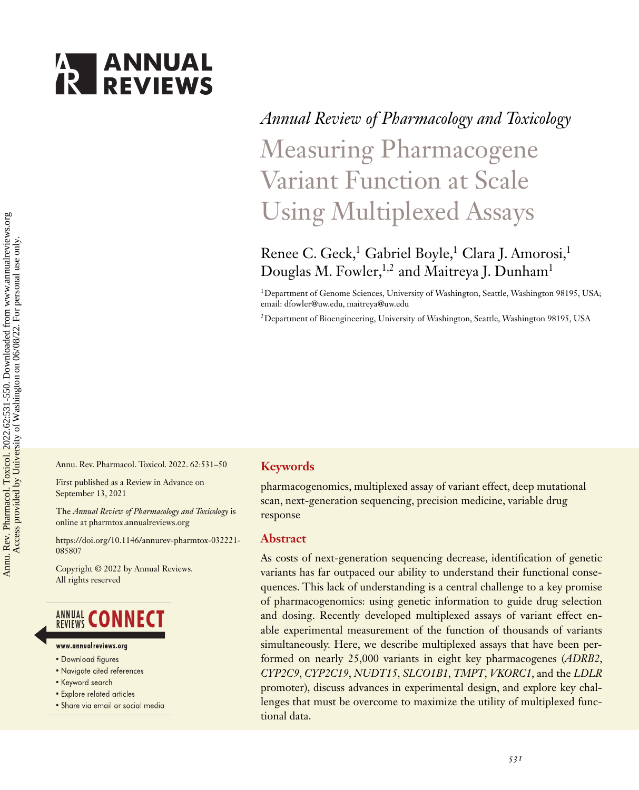# **ANNUAL**<br>**REVIEWS**

# *Annual Review of Pharmacology and Toxicology* Measuring Pharmacogene Variant Function at Scale Using Multiplexed Assays

# Renee C. Geck,<sup>1</sup> Gabriel Boyle,<sup>1</sup> Clara J. Amorosi,<sup>1</sup> Douglas M. Fowler,<sup>1,2</sup> and Maitreya J. Dunham<sup>1</sup>

<sup>1</sup>Department of Genome Sciences, University of Washington, Seattle, Washington 98195, USA; email: [dfowler@uw.edu,](mailto:dfowler@uw.edu) [maitreya@uw.edu](mailto:maitreya@uw.edu)

2Department of Bioengineering, University of Washington, Seattle, Washington 98195, USA

Annu. Rev. Pharmacol. Toxicol. 2022. 62:531–50

First published as a Review in Advance on September 13, 2021

The *Annual Review of Pharmacology and Toxicology* is online at pharmtox.annualreviews.org

[https://doi.org/10.1146/annurev-pharmtox-032221-](https://doi.org/10.1146/annurev-pharmtox-032221-085807) 085807

Copyright © 2022 by Annual Reviews. All rights reserved

# **ANNUAL CONNECT**

- www.annualreviews.ora
- · Download figures
- Navigate cited references
- Keyword search
- Explore related articles
- · Share via email or social media

# **Keywords**

pharmacogenomics, multiplexed assay of variant effect, deep mutational scan, next-generation sequencing, precision medicine, variable drug response

# **Abstract**

As costs of next-generation sequencing decrease, identification of genetic variants has far outpaced our ability to understand their functional consequences. This lack of understanding is a central challenge to a key promise of pharmacogenomics: using genetic information to guide drug selection and dosing. Recently developed multiplexed assays of variant effect enable experimental measurement of the function of thousands of variants simultaneously. Here, we describe multiplexed assays that have been performed on nearly 25,000 variants in eight key pharmacogenes (*ADRB2*, *CYP2C9*, *CYP2C19*, *NUDT15*, *SLCO1B1*, *TMPT*, *VKORC1*, and the *LDLR* promoter), discuss advances in experimental design, and explore key challenges that must be overcome to maximize the utility of multiplexed functional data.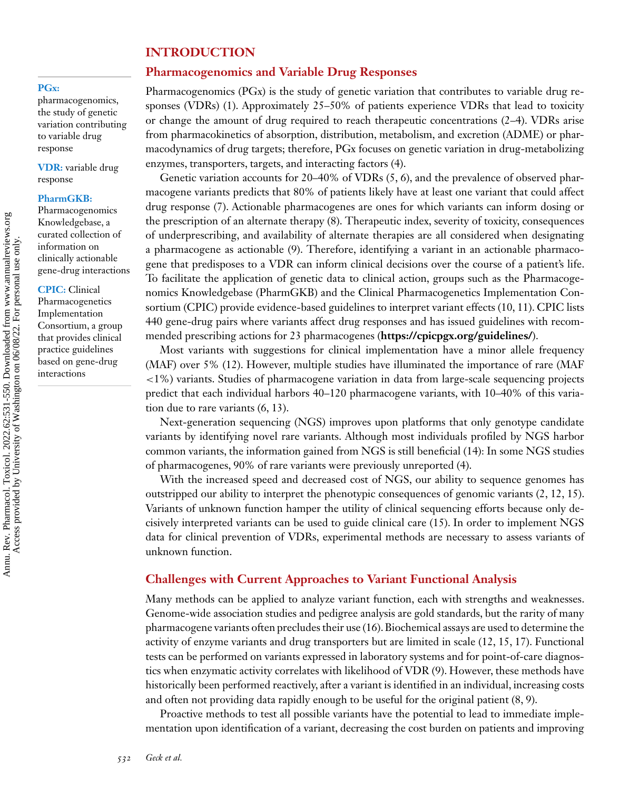# **INTRODUCTION**

# **Pharmacogenomics and Variable Drug Responses**

#### **PGx:**

pharmacogenomics, the study of genetic variation contributing to variable drug response

**VDR:** variable drug response

#### **PharmGKB:**

Pharmacogenomics Knowledgebase, a curated collection of information on clinically actionable gene-drug interactions

**CPIC:** Clinical Pharmacogenetics Implementation Consortium, a group that provides clinical practice guidelines based on gene-drug interactions

Pharmacogenomics (PGx) is the study of genetic variation that contributes to variable drug responses (VDRs) [\(1\)](#page-14-0). Approximately 25–50% of patients experience VDRs that lead to toxicity or change the amount of drug required to reach therapeutic concentrations [\(2–4\)](#page-14-0). VDRs arise from pharmacokinetics of absorption, distribution, metabolism, and excretion (ADME) or pharmacodynamics of drug targets; therefore, PGx focuses on genetic variation in drug-metabolizing enzymes, transporters, targets, and interacting factors [\(4\)](#page-14-0).

Genetic variation accounts for 20–40% of VDRs [\(5, 6\)](#page-14-0), and the prevalence of observed pharmacogene variants predicts that 80% of patients likely have at least one variant that could affect drug response [\(7\)](#page-14-0). Actionable pharmacogenes are ones for which variants can inform dosing or the prescription of an alternate therapy [\(8\)](#page-14-0). Therapeutic index, severity of toxicity, consequences of underprescribing, and availability of alternate therapies are all considered when designating a pharmacogene as actionable [\(9\)](#page-14-0). Therefore, identifying a variant in an actionable pharmacogene that predisposes to a VDR can inform clinical decisions over the course of a patient's life. To facilitate the application of genetic data to clinical action, groups such as the Pharmacogenomics Knowledgebase (PharmGKB) and the Clinical Pharmacogenetics Implementation Consortium (CPIC) provide evidence-based guidelines to interpret variant effects [\(10, 11\)](#page-14-0). CPIC lists 440 gene-drug pairs where variants affect drug responses and has issued guidelines with recommended prescribing actions for 23 pharmacogenes (**<https://cpicpgx.org/guidelines/>**).

Most variants with suggestions for clinical implementation have a minor allele frequency (MAF) over 5% [\(12\)](#page-14-0). However, multiple studies have illuminated the importance of rare (MAF <1%) variants. Studies of pharmacogene variation in data from large-scale sequencing projects predict that each individual harbors 40–120 pharmacogene variants, with 10–40% of this variation due to rare variants [\(6, 13\)](#page-14-0).

Next-generation sequencing (NGS) improves upon platforms that only genotype candidate variants by identifying novel rare variants. Although most individuals profiled by NGS harbor common variants, the information gained from NGS is still beneficial [\(14\)](#page-14-0): In some NGS studies of pharmacogenes, 90% of rare variants were previously unreported [\(4\)](#page-14-0).

With the increased speed and decreased cost of NGS, our ability to sequence genomes has outstripped our ability to interpret the phenotypic consequences of genomic variants [\(2, 12, 15\)](#page-14-0). Variants of unknown function hamper the utility of clinical sequencing efforts because only decisively interpreted variants can be used to guide clinical care [\(15\)](#page-14-0). In order to implement NGS data for clinical prevention of VDRs, experimental methods are necessary to assess variants of unknown function.

# **Challenges with Current Approaches to Variant Functional Analysis**

Many methods can be applied to analyze variant function, each with strengths and weaknesses. Genome-wide association studies and pedigree analysis are gold standards, but the rarity of many pharmacogene variants often precludes their use [\(16\)](#page-14-0). Biochemical assays are used to determine the activity of enzyme variants and drug transporters but are limited in scale [\(12, 15, 17\)](#page-14-0). Functional tests can be performed on variants expressed in laboratory systems and for point-of-care diagnostics when enzymatic activity correlates with likelihood of VDR [\(9\)](#page-14-0). However, these methods have historically been performed reactively, after a variant is identified in an individual, increasing costs and often not providing data rapidly enough to be useful for the original patient [\(8, 9\)](#page-14-0).

Proactive methods to test all possible variants have the potential to lead to immediate implementation upon identification of a variant, decreasing the cost burden on patients and improving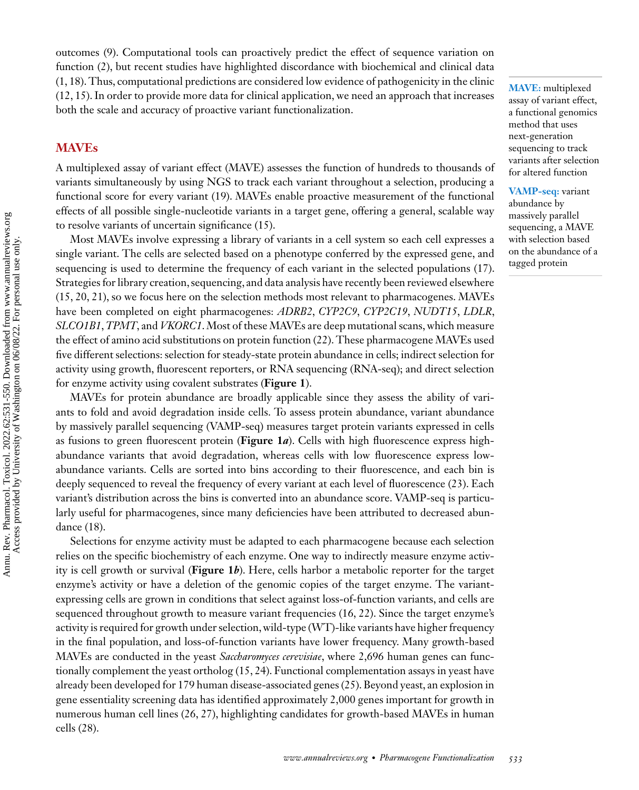outcomes [\(9\)](#page-14-0). Computational tools can proactively predict the effect of sequence variation on function [\(2\)](#page-14-0), but recent studies have highlighted discordance with biochemical and clinical data [\(1, 18\)](#page-14-0). Thus, computational predictions are considered low evidence of pathogenicity in the clinic [\(12, 15\)](#page-14-0). In order to provide more data for clinical application, we need an approach that increases both the scale and accuracy of proactive variant functionalization.

# **MAVEs**

A multiplexed assay of variant effect (MAVE) assesses the function of hundreds to thousands of variants simultaneously by using NGS to track each variant throughout a selection, producing a functional score for every variant [\(19\)](#page-14-0). MAVEs enable proactive measurement of the functional effects of all possible single-nucleotide variants in a target gene, offering a general, scalable way to resolve variants of uncertain significance [\(15\)](#page-14-0).

Most MAVEs involve expressing a library of variants in a cell system so each cell expresses a single variant. The cells are selected based on a phenotype conferred by the expressed gene, and sequencing is used to determine the frequency of each variant in the selected populations [\(17\)](#page-14-0). Strategies for library creation, sequencing, and data analysis have recently been reviewed elsewhere [\(15, 20, 21\)](#page-14-0), so we focus here on the selection methods most relevant to pharmacogenes. MAVEs have been completed on eight pharmacogenes: *ADRB2*, *CYP2C9*, *CYP2C19*, *NUDT15*, *LDLR*, *SLCO1B1*,*TPMT*, and *VKORC1*. Most of these MAVEs are deep mutational scans, which measure the effect of amino acid substitutions on protein function [\(22\)](#page-15-0). These pharmacogene MAVEs used five different selections: selection for steady-state protein abundance in cells; indirect selection for activity using growth, fluorescent reporters, or RNA sequencing (RNA-seq); and direct selection for enzyme activity using covalent substrates (**[Figure 1](#page-3-0)**).

MAVEs for protein abundance are broadly applicable since they assess the ability of variants to fold and avoid degradation inside cells. To assess protein abundance, variant abundance by massively parallel sequencing (VAMP-seq) measures target protein variants expressed in cells as fusions to green fluorescent protein (**[Figure 1](#page-3-0)***a*). Cells with high fluorescence express highabundance variants that avoid degradation, whereas cells with low fluorescence express lowabundance variants. Cells are sorted into bins according to their fluorescence, and each bin is deeply sequenced to reveal the frequency of every variant at each level of fluorescence [\(23\)](#page-15-0). Each variant's distribution across the bins is converted into an abundance score. VAMP-seq is particularly useful for pharmacogenes, since many deficiencies have been attributed to decreased abundance [\(18\)](#page-14-0).

Selections for enzyme activity must be adapted to each pharmacogene because each selection relies on the specific biochemistry of each enzyme. One way to indirectly measure enzyme activity is cell growth or survival (**[Figure 1](#page-3-0)***b*). Here, cells harbor a metabolic reporter for the target enzyme's activity or have a deletion of the genomic copies of the target enzyme. The variantexpressing cells are grown in conditions that select against loss-of-function variants, and cells are sequenced throughout growth to measure variant frequencies [\(16,](#page-14-0) [22\)](#page-15-0). Since the target enzyme's activity is required for growth under selection, wild-type (WT)-like variants have higher frequency in the final population, and loss-of-function variants have lower frequency. Many growth-based MAVEs are conducted in the yeast *Saccharomyces cerevisiae*, where 2,696 human genes can functionally complement the yeast ortholog [\(15,](#page-14-0) [24\)](#page-15-0). Functional complementation assays in yeast have already been developed for 179 human disease-associated genes [\(25\)](#page-15-0). Beyond yeast, an explosion in gene essentiality screening data has identified approximately 2,000 genes important for growth in numerous human cell lines [\(26, 27\)](#page-15-0), highlighting candidates for growth-based MAVEs in human cells [\(28\)](#page-15-0).

**MAVE:** multiplexed assay of variant effect, a functional genomics method that uses next-generation sequencing to track variants after selection for altered function

**VAMP-seq:** variant abundance by massively parallel sequencing, a MAVE with selection based on the abundance of a tagged protein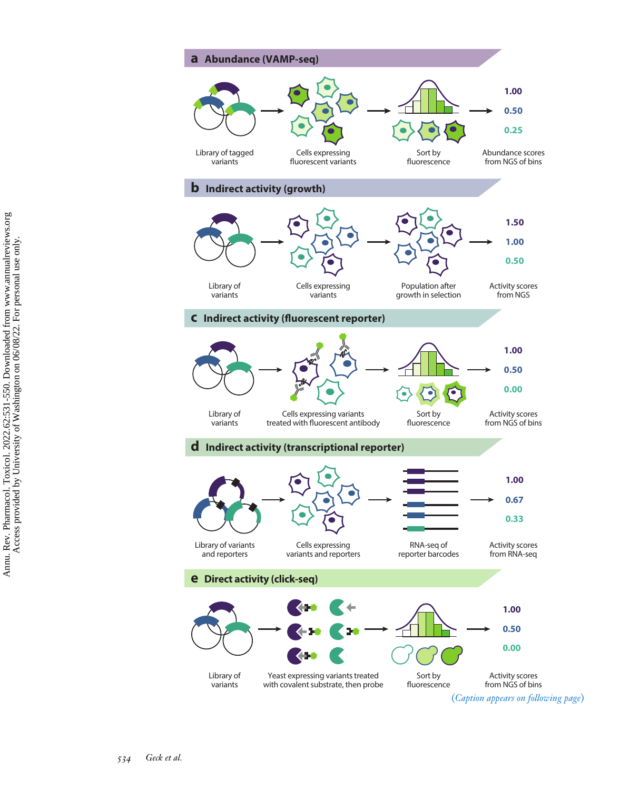<span id="page-3-0"></span>

```
Annu. Rev. Pharmacol. Toxicol. 2022.62:531-550. Downloaded from www.annualreviews.org<br>Access provided by University of Washington on 06/08/22. For personal use only.
            Annu. Rev. Pharmacol. Toxicol. 2022.62:531-550. Downloaded from www.annualreviews.org
                                                                                        Access provided by University of Washington on 06/08/22. For personal use only.
```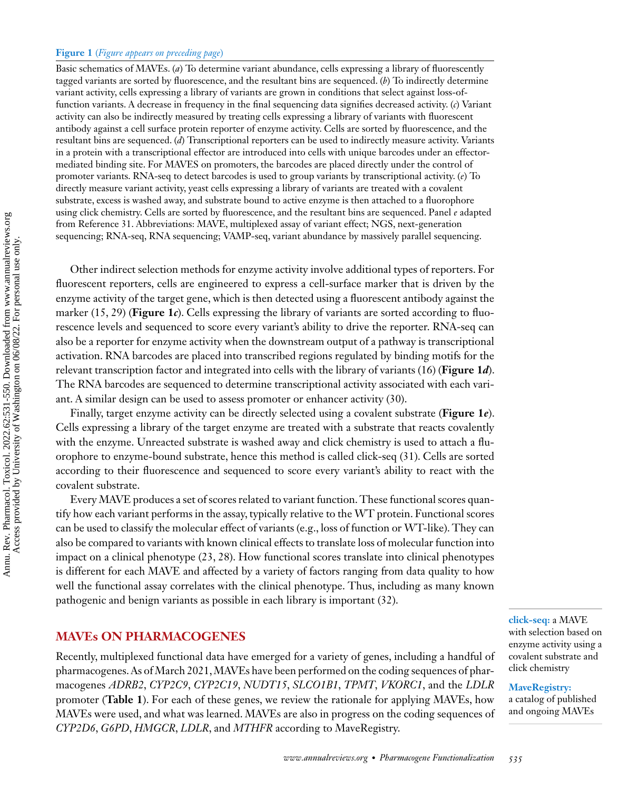#### **Figure 1** (*Figure appears on preceding page*)

Basic schematics of MAVEs. (*a*) To determine variant abundance, cells expressing a library of fluorescently tagged variants are sorted by fluorescence, and the resultant bins are sequenced. (*b*) To indirectly determine variant activity, cells expressing a library of variants are grown in conditions that select against loss-offunction variants. A decrease in frequency in the final sequencing data signifies decreased activity. (*c*) Variant activity can also be indirectly measured by treating cells expressing a library of variants with fluorescent antibody against a cell surface protein reporter of enzyme activity. Cells are sorted by fluorescence, and the resultant bins are sequenced. (*d*) Transcriptional reporters can be used to indirectly measure activity. Variants in a protein with a transcriptional effector are introduced into cells with unique barcodes under an effectormediated binding site. For MAVES on promoters, the barcodes are placed directly under the control of promoter variants. RNA-seq to detect barcodes is used to group variants by transcriptional activity. (*e*) To directly measure variant activity, yeast cells expressing a library of variants are treated with a covalent substrate, excess is washed away, and substrate bound to active enzyme is then attached to a fluorophore using click chemistry. Cells are sorted by fluorescence, and the resultant bins are sequenced. Panel *e* adapted from Reference 31. Abbreviations: MAVE, multiplexed assay of variant effect; NGS, next-generation sequencing; RNA-seq, RNA sequencing; VAMP-seq, variant abundance by massively parallel sequencing.

Other indirect selection methods for enzyme activity involve additional types of reporters. For fluorescent reporters, cells are engineered to express a cell-surface marker that is driven by the enzyme activity of the target gene, which is then detected using a fluorescent antibody against the marker [\(15,](#page-14-0) [29\)](#page-15-0) (**[Figure 1](#page-3-0)***c*). Cells expressing the library of variants are sorted according to fluorescence levels and sequenced to score every variant's ability to drive the reporter. RNA-seq can also be a reporter for enzyme activity when the downstream output of a pathway is transcriptional activation. RNA barcodes are placed into transcribed regions regulated by binding motifs for the relevant transcription factor and integrated into cells with the library of variants [\(16\)](#page-14-0) (**[Figure 1](#page-3-0)***d*). The RNA barcodes are sequenced to determine transcriptional activity associated with each variant. A similar design can be used to assess promoter or enhancer activity [\(30\)](#page-15-0).

Finally, target enzyme activity can be directly selected using a covalent substrate (**[Figure 1](#page-3-0)***e*). Cells expressing a library of the target enzyme are treated with a substrate that reacts covalently with the enzyme. Unreacted substrate is washed away and click chemistry is used to attach a fluorophore to enzyme-bound substrate, hence this method is called click-seq [\(31\)](#page-15-0). Cells are sorted according to their fluorescence and sequenced to score every variant's ability to react with the covalent substrate.

Every MAVE produces a set of scores related to variant function. These functional scores quantify how each variant performs in the assay, typically relative to the WT protein. Functional scores can be used to classify the molecular effect of variants (e.g., loss of function or WT-like). They can also be compared to variants with known clinical effects to translate loss of molecular function into impact on a clinical phenotype [\(23, 28\)](#page-15-0). How functional scores translate into clinical phenotypes is different for each MAVE and affected by a variety of factors ranging from data quality to how well the functional assay correlates with the clinical phenotype. Thus, including as many known pathogenic and benign variants as possible in each library is important [\(32\)](#page-15-0).

# **MAVEs ON PHARMACOGENES**

Recently, multiplexed functional data have emerged for a variety of genes, including a handful of pharmacogenes. As of March 2021,MAVEs have been performed on the coding sequences of pharmacogenes *ADRB2*, *CYP2C9*, *CYP2C19*, *NUDT15*, *SLCO1B1*, *TPMT*, *VKORC1*, and the *LDLR* promoter (**[Table 1](#page-5-0)**). For each of these genes, we review the rationale for applying MAVEs, how MAVEs were used, and what was learned. MAVEs are also in progress on the coding sequences of *CYP2D6*, *G6PD*, *HMGCR*, *LDLR*, and *MTHFR* according to MaveRegistry.

**click-seq:** a MAVE with selection based on enzyme activity using a covalent substrate and click chemistry

**MaveRegistry:** a catalog of published and ongoing MAVEs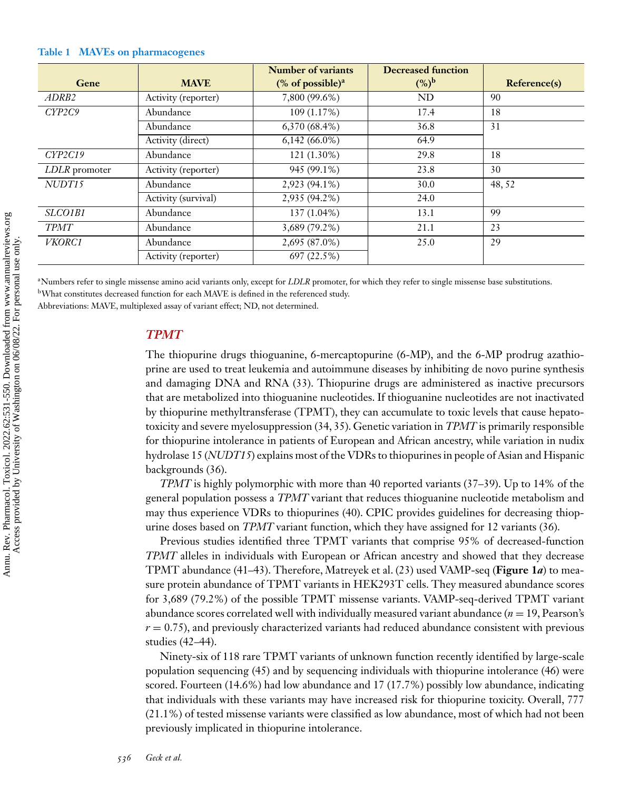| Gene              | <b>MAVE</b>         | Number of variants<br>$%$ of possible) <sup>a</sup> | <b>Decreased function</b><br>$({\%})^{\rm b}$ | Reference(s) |
|-------------------|---------------------|-----------------------------------------------------|-----------------------------------------------|--------------|
| ADRB <sub>2</sub> | Activity (reporter) | 7,800 (99.6%)                                       | ND                                            | 90           |
| CYP2C9            | Abundance           | 109(1.17%)                                          | 17.4                                          | 18           |
|                   | Abundance           | 6,370(68.4%)                                        | 36.8                                          | 31           |
|                   | Activity (direct)   | $6,142(66.0\%)$                                     | 64.9                                          |              |
| CYP2C19           | Abundance           | $121(1.30\%)$                                       | 29.8                                          | 18           |
| LDLR promoter     | Activity (reporter) | 945 (99.1%)                                         | 23.8                                          | 30           |
| NUDT15            | Abundance           | 2,923 (94.1%)                                       | 30.0                                          | 48,52        |
|                   | Activity (survival) | 2,935 (94.2%)                                       | 24.0                                          |              |
| SLCO1B1           | Abundance           | 137 (1.04%)                                         | 13.1                                          | 99           |
| <b>TPMT</b>       | Abundance           | 3,689 (79.2%)                                       | 21.1                                          | 23           |
| <b>VKORC1</b>     | Abundance           | 2,695 (87.0%)                                       | 25.0                                          | 29           |
|                   | Activity (reporter) | 697 (22.5%)                                         |                                               |              |

#### <span id="page-5-0"></span>**Table 1 MAVEs on pharmacogenes**

<sup>a</sup>Numbers refer to single missense amino acid variants only, except for *LDLR* promoter, for which they refer to single missense base substitutions. bWhat constitutes decreased function for each MAVE is defined in the referenced study.

Abbreviations: MAVE, multiplexed assay of variant effect; ND, not determined.

# *TPMT*

The thiopurine drugs thioguanine, 6-mercaptopurine (6-MP), and the 6-MP prodrug azathioprine are used to treat leukemia and autoimmune diseases by inhibiting de novo purine synthesis and damaging DNA and RNA [\(33\)](#page-15-0). Thiopurine drugs are administered as inactive precursors that are metabolized into thioguanine nucleotides. If thioguanine nucleotides are not inactivated by thiopurine methyltransferase (TPMT), they can accumulate to toxic levels that cause hepatotoxicity and severe myelosuppression [\(34, 35\)](#page-15-0). Genetic variation in *TPMT* is primarily responsible for thiopurine intolerance in patients of European and African ancestry, while variation in nudix hydrolase 15 (*NUDT15*) explains most of the VDRs to thiopurines in people of Asian and Hispanic backgrounds [\(36\)](#page-15-0).

*TPMT* is highly polymorphic with more than 40 reported variants [\(37–39\)](#page-15-0). Up to 14% of the general population possess a *TPMT* variant that reduces thioguanine nucleotide metabolism and may thus experience VDRs to thiopurines [\(40\)](#page-15-0). CPIC provides guidelines for decreasing thiopurine doses based on *TPMT* variant function, which they have assigned for 12 variants [\(36\)](#page-15-0).

Previous studies identified three TPMT variants that comprise 95% of decreased-function *TPMT* alleles in individuals with European or African ancestry and showed that they decrease TPMT abundance [\(41–43\)](#page-15-0). Therefore, Matreyek et al. [\(23\)](#page-15-0) used VAMP-seq (**[Figure 1](#page-3-0)***a*) to measure protein abundance of TPMT variants in HEK293T cells. They measured abundance scores for 3,689 (79.2%) of the possible TPMT missense variants. VAMP-seq-derived TPMT variant abundance scores correlated well with individually measured variant abundance  $(n = 19,$  Pearson's  $r = 0.75$ ), and previously characterized variants had reduced abundance consistent with previous studies [\(42](#page-15-0)[–44\)](#page-16-0).

Ninety-six of 118 rare TPMT variants of unknown function recently identified by large-scale population sequencing [\(45\)](#page-16-0) and by sequencing individuals with thiopurine intolerance [\(46\)](#page-16-0) were scored. Fourteen (14.6%) had low abundance and 17 (17.7%) possibly low abundance, indicating that individuals with these variants may have increased risk for thiopurine toxicity. Overall, 777 (21.1%) of tested missense variants were classified as low abundance, most of which had not been previously implicated in thiopurine intolerance.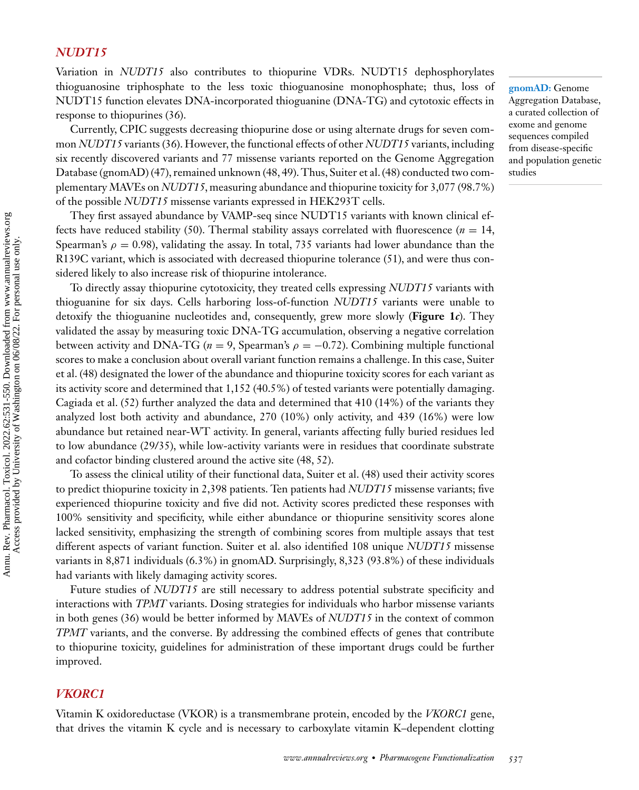# *NUDT15*

Variation in *NUDT15* also contributes to thiopurine VDRs. NUDT15 dephosphorylates thioguanosine triphosphate to the less toxic thioguanosine monophosphate; thus, loss of NUDT15 function elevates DNA-incorporated thioguanine (DNA-TG) and cytotoxic effects in response to thiopurines [\(36\)](#page-15-0).

Currently, CPIC suggests decreasing thiopurine dose or using alternate drugs for seven common *NUDT15* variants [\(36\)](#page-15-0). However, the functional effects of other *NUDT15* variants, including six recently discovered variants and 77 missense variants reported on the Genome Aggregation Database (gnomAD) [\(47\)](#page-16-0), remained unknown [\(48, 49\)](#page-16-0). Thus, Suiter et al. [\(48\)](#page-16-0) conducted two complementary MAVEs on *NUDT15*, measuring abundance and thiopurine toxicity for 3,077 (98.7%) of the possible *NUDT15* missense variants expressed in HEK293T cells.

They first assayed abundance by VAMP-seq since NUDT15 variants with known clinical ef-fects have reduced stability [\(50\)](#page-16-0). Thermal stability assays correlated with fluorescence ( $n = 14$ , Spearman's  $\rho = 0.98$ ), validating the assay. In total, 735 variants had lower abundance than the R139C variant, which is associated with decreased thiopurine tolerance [\(51\)](#page-16-0), and were thus considered likely to also increase risk of thiopurine intolerance.

To directly assay thiopurine cytotoxicity, they treated cells expressing *NUDT15* variants with thioguanine for six days. Cells harboring loss-of-function *NUDT15* variants were unable to detoxify the thioguanine nucleotides and, consequently, grew more slowly (**[Figure 1](#page-3-0)***c*). They validated the assay by measuring toxic DNA-TG accumulation, observing a negative correlation between activity and DNA-TG ( $n = 9$ , Spearman's  $\rho = -0.72$ ). Combining multiple functional scores to make a conclusion about overall variant function remains a challenge. In this case, Suiter et al. [\(48\)](#page-16-0) designated the lower of the abundance and thiopurine toxicity scores for each variant as its activity score and determined that 1,152 (40.5%) of tested variants were potentially damaging. Cagiada et al. [\(52\)](#page-16-0) further analyzed the data and determined that 410 (14%) of the variants they analyzed lost both activity and abundance, 270 (10%) only activity, and 439 (16%) were low abundance but retained near-WT activity. In general, variants affecting fully buried residues led to low abundance (29/35), while low-activity variants were in residues that coordinate substrate and cofactor binding clustered around the active site [\(48, 52\)](#page-16-0).

To assess the clinical utility of their functional data, Suiter et al. [\(48\)](#page-16-0) used their activity scores to predict thiopurine toxicity in 2,398 patients. Ten patients had *NUDT15* missense variants; five experienced thiopurine toxicity and five did not. Activity scores predicted these responses with 100% sensitivity and specificity, while either abundance or thiopurine sensitivity scores alone lacked sensitivity, emphasizing the strength of combining scores from multiple assays that test different aspects of variant function. Suiter et al. also identified 108 unique *NUDT15* missense variants in 8,871 individuals (6.3%) in gnomAD. Surprisingly, 8,323 (93.8%) of these individuals had variants with likely damaging activity scores.

Future studies of *NUDT15* are still necessary to address potential substrate specificity and interactions with *TPMT* variants. Dosing strategies for individuals who harbor missense variants in both genes [\(36\)](#page-15-0) would be better informed by MAVEs of *NUDT15* in the context of common *TPMT* variants, and the converse. By addressing the combined effects of genes that contribute to thiopurine toxicity, guidelines for administration of these important drugs could be further improved.

#### *VKORC1*

Vitamin K oxidoreductase (VKOR) is a transmembrane protein, encoded by the *VKORC1* gene, that drives the vitamin K cycle and is necessary to carboxylate vitamin K–dependent clotting

**gnomAD:** Genome Aggregation Database, a curated collection of exome and genome sequences compiled from disease-specific and population genetic studies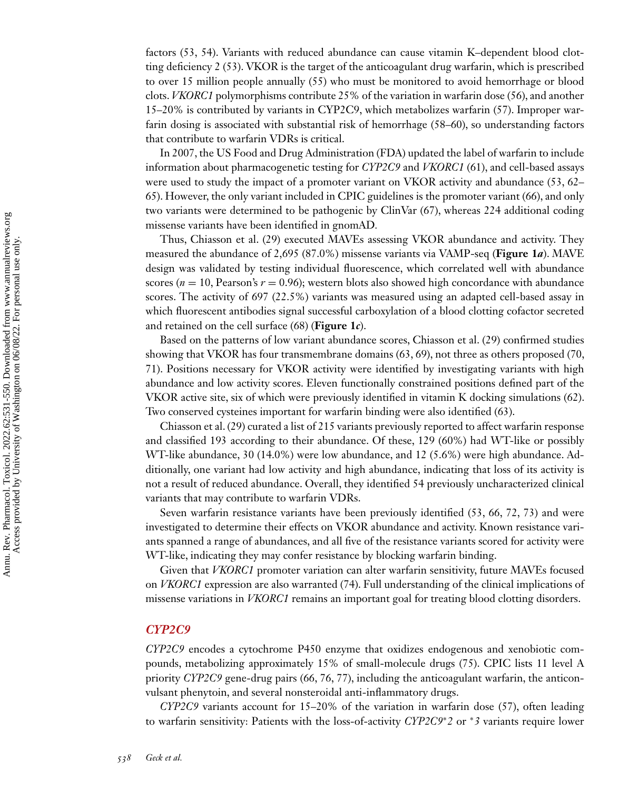factors [\(53, 54\)](#page-16-0). Variants with reduced abundance can cause vitamin K–dependent blood clotting deficiency 2 [\(53\)](#page-16-0). VKOR is the target of the anticoagulant drug warfarin, which is prescribed to over 15 million people annually [\(55\)](#page-16-0) who must be monitored to avoid hemorrhage or blood clots. *VKORC1* polymorphisms contribute 25% of the variation in warfarin dose [\(56\)](#page-16-0), and another 15–20% is contributed by variants in CYP2C9, which metabolizes warfarin [\(57\)](#page-16-0). Improper warfarin dosing is associated with substantial risk of hemorrhage [\(58–60\)](#page-16-0), so understanding factors that contribute to warfarin VDRs is critical.

In 2007, the US Food and Drug Administration (FDA) updated the label of warfarin to include information about pharmacogenetic testing for *CYP2C9* and *VKORC1* [\(61\)](#page-16-0), and cell-based assays were used to study the impact of a promoter variant on VKOR activity and abundance [\(53, 62–](#page-16-0) [65\)](#page-16-0). However, the only variant included in CPIC guidelines is the promoter variant [\(66\)](#page-16-0), and only two variants were determined to be pathogenic by ClinVar [\(67\)](#page-16-0), whereas 224 additional coding missense variants have been identified in gnomAD*.*

Thus, Chiasson et al. [\(29\)](#page-15-0) executed MAVEs assessing VKOR abundance and activity. They measured the abundance of 2,695 (87.0%) missense variants via VAMP-seq (**[Figure 1](#page-3-0)***a*). MAVE design was validated by testing individual fluorescence, which correlated well with abundance scores ( $n = 10$ , Pearson's  $r = 0.96$ ); western blots also showed high concordance with abundance scores. The activity of 697 (22.5%) variants was measured using an adapted cell-based assay in which fluorescent antibodies signal successful carboxylation of a blood clotting cofactor secreted and retained on the cell surface [\(68\)](#page-17-0) (**[Figure 1](#page-3-0)***c*).

Based on the patterns of low variant abundance scores, Chiasson et al. [\(29\)](#page-15-0) confirmed studies showing that VKOR has four transmembrane domains [\(63,](#page-16-0) [69\)](#page-17-0), not three as others proposed [\(70,](#page-17-0) [71\)](#page-17-0). Positions necessary for VKOR activity were identified by investigating variants with high abundance and low activity scores. Eleven functionally constrained positions defined part of the VKOR active site, six of which were previously identified in vitamin K docking simulations [\(62\)](#page-16-0). Two conserved cysteines important for warfarin binding were also identified [\(63\)](#page-16-0).

Chiasson et al. [\(29\)](#page-15-0) curated a list of 215 variants previously reported to affect warfarin response and classified 193 according to their abundance. Of these, 129 (60%) had WT-like or possibly WT-like abundance, 30 (14.0%) were low abundance, and 12 (5.6%) were high abundance. Additionally, one variant had low activity and high abundance, indicating that loss of its activity is not a result of reduced abundance. Overall, they identified 54 previously uncharacterized clinical variants that may contribute to warfarin VDRs.

Seven warfarin resistance variants have been previously identified [\(53, 66,](#page-16-0) [72, 73\)](#page-17-0) and were investigated to determine their effects on VKOR abundance and activity. Known resistance variants spanned a range of abundances, and all five of the resistance variants scored for activity were WT-like, indicating they may confer resistance by blocking warfarin binding.

Given that *VKORC1* promoter variation can alter warfarin sensitivity, future MAVEs focused on *VKORC1* expression are also warranted [\(74\)](#page-17-0). Full understanding of the clinical implications of missense variations in *VKORC1* remains an important goal for treating blood clotting disorders.

#### *CYP2C9*

*CYP2C9* encodes a cytochrome P450 enzyme that oxidizes endogenous and xenobiotic compounds, metabolizing approximately 15% of small-molecule drugs [\(75\)](#page-17-0). CPIC lists 11 level A priority *CYP2C9* gene-drug pairs [\(66,](#page-16-0) [76, 77\)](#page-17-0), including the anticoagulant warfarin, the anticonvulsant phenytoin, and several nonsteroidal anti-inflammatory drugs.

*CYP2C9* variants account for 15–20% of the variation in warfarin dose [\(57\)](#page-16-0), often leading to warfarin sensitivity: Patients with the loss-of-activity *CYP2C9*∗*2* or <sup>∗</sup>*3* variants require lower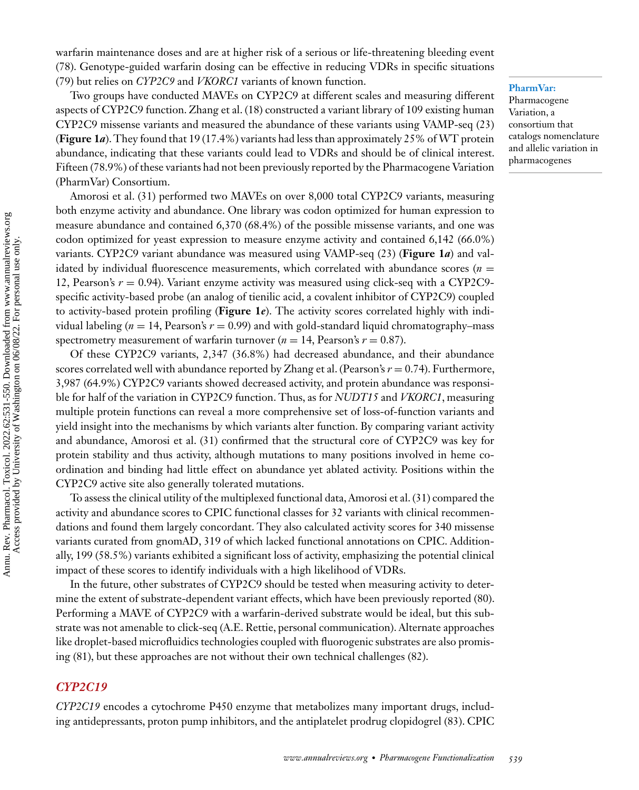warfarin maintenance doses and are at higher risk of a serious or life-threatening bleeding event [\(78\)](#page-17-0). Genotype-guided warfarin dosing can be effective in reducing VDRs in specific situations [\(79\)](#page-17-0) but relies on *CYP2C9* and *VKORC1* variants of known function.

#### **PharmVar:**

Pharmacogene Variation, a consortium that catalogs nomenclature and allelic variation in pharmacogenes

Two groups have conducted MAVEs on CYP2C9 at different scales and measuring different aspects of CYP2C9 function. Zhang et al. [\(18\)](#page-14-0) constructed a variant library of 109 existing human CYP2C9 missense variants and measured the abundance of these variants using VAMP-seq [\(23\)](#page-15-0) (**[Figure 1](#page-3-0)***a*). They found that 19 (17.4%) variants had less than approximately 25% of WT protein abundance, indicating that these variants could lead to VDRs and should be of clinical interest. Fifteen (78.9%) of these variants had not been previously reported by the Pharmacogene Variation (PharmVar) Consortium.

Amorosi et al. [\(31\)](#page-15-0) performed two MAVEs on over 8,000 total CYP2C9 variants, measuring both enzyme activity and abundance. One library was codon optimized for human expression to measure abundance and contained 6,370 (68.4%) of the possible missense variants, and one was codon optimized for yeast expression to measure enzyme activity and contained 6,142 (66.0%) variants. CYP2C9 variant abundance was measured using VAMP-seq [\(23\)](#page-15-0) (**[Figure 1](#page-3-0)***a*) and validated by individual fluorescence measurements, which correlated with abundance scores  $(n =$ 12, Pearson's *r* = 0.94). Variant enzyme activity was measured using click-seq with a CYP2C9 specific activity-based probe (an analog of tienilic acid, a covalent inhibitor of CYP2C9) coupled to activity-based protein profiling (**[Figure 1](#page-3-0)***e*). The activity scores correlated highly with individual labeling ( $n = 14$ , Pearson's  $r = 0.99$ ) and with gold-standard liquid chromatography–mass spectrometry measurement of warfarin turnover ( $n = 14$ , Pearson's  $r = 0.87$ ).

Of these CYP2C9 variants, 2,347 (36.8%) had decreased abundance, and their abundance scores correlated well with abundance reported by Zhang et al. (Pearson's *r* = 0.74). Furthermore, 3,987 (64.9%) CYP2C9 variants showed decreased activity, and protein abundance was responsible for half of the variation in CYP2C9 function. Thus, as for *NUDT15* and *VKORC1*, measuring multiple protein functions can reveal a more comprehensive set of loss-of-function variants and yield insight into the mechanisms by which variants alter function. By comparing variant activity and abundance, Amorosi et al. [\(31\)](#page-15-0) confirmed that the structural core of CYP2C9 was key for protein stability and thus activity, although mutations to many positions involved in heme coordination and binding had little effect on abundance yet ablated activity. Positions within the CYP2C9 active site also generally tolerated mutations.

To assess the clinical utility of the multiplexed functional data, Amorosi et al. [\(31\)](#page-15-0) compared the activity and abundance scores to CPIC functional classes for 32 variants with clinical recommendations and found them largely concordant. They also calculated activity scores for 340 missense variants curated from gnomAD, 319 of which lacked functional annotations on CPIC. Additionally, 199 (58.5%) variants exhibited a significant loss of activity, emphasizing the potential clinical impact of these scores to identify individuals with a high likelihood of VDRs.

In the future, other substrates of CYP2C9 should be tested when measuring activity to determine the extent of substrate-dependent variant effects, which have been previously reported [\(80\)](#page-17-0). Performing a MAVE of CYP2C9 with a warfarin-derived substrate would be ideal, but this substrate was not amenable to click-seq (A.E. Rettie, personal communication). Alternate approaches like droplet-based microfluidics technologies coupled with fluorogenic substrates are also promising [\(81\)](#page-17-0), but these approaches are not without their own technical challenges [\(82\)](#page-17-0).

# *CYP2C19*

*CYP2C19* encodes a cytochrome P450 enzyme that metabolizes many important drugs, including antidepressants, proton pump inhibitors, and the antiplatelet prodrug clopidogrel [\(83\)](#page-17-0). CPIC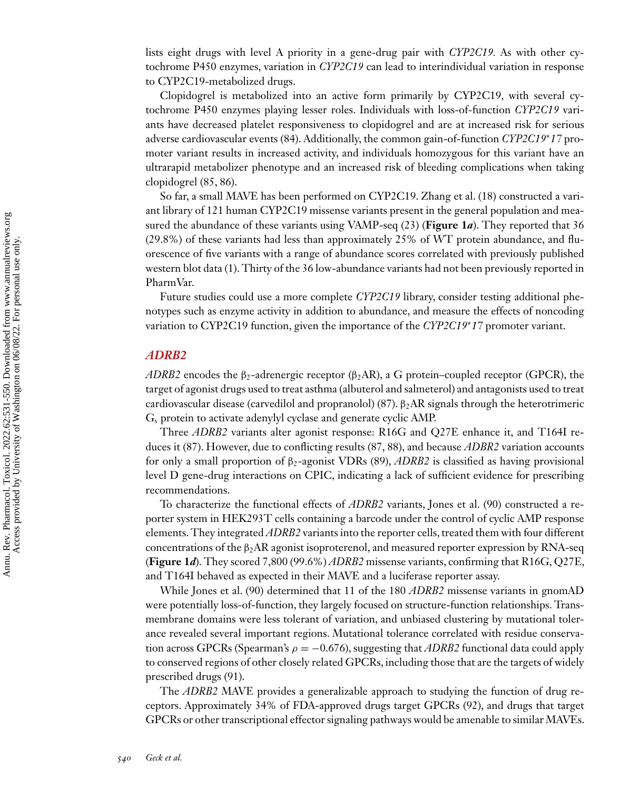lists eight drugs with level A priority in a gene-drug pair with *CYP2C19.* As with other cytochrome P450 enzymes, variation in *CYP2C19* can lead to interindividual variation in response to CYP2C19-metabolized drugs.

Clopidogrel is metabolized into an active form primarily by CYP2C19, with several cytochrome P450 enzymes playing lesser roles. Individuals with loss-of-function *CYP2C19* variants have decreased platelet responsiveness to clopidogrel and are at increased risk for serious adverse cardiovascular events [\(84\)](#page-17-0). Additionally, the common gain-of-function *CYP2C19*∗*17* promoter variant results in increased activity, and individuals homozygous for this variant have an ultrarapid metabolizer phenotype and an increased risk of bleeding complications when taking clopidogrel [\(85, 86\)](#page-17-0).

So far, a small MAVE has been performed on CYP2C19. Zhang et al. [\(18\)](#page-14-0) constructed a variant library of 121 human CYP2C19 missense variants present in the general population and measured the abundance of these variants using VAMP-seq [\(23\)](#page-15-0) (**[Figure 1](#page-3-0)***a*). They reported that 36 (29.8%) of these variants had less than approximately 25% of WT protein abundance, and fluorescence of five variants with a range of abundance scores correlated with previously published western blot data [\(1\)](#page-14-0). Thirty of the 36 low-abundance variants had not been previously reported in PharmVar.

Future studies could use a more complete *CYP2C19* library, consider testing additional phenotypes such as enzyme activity in addition to abundance, and measure the effects of noncoding variation to CYP2C19 function, given the importance of the *CYP2C19*∗*17* promoter variant.

#### *ADRB2*

*ADRB2* encodes the  $\beta_2$ -adrenergic receptor ( $\beta_2$ AR), a G protein–coupled receptor (GPCR), the target of agonist drugs used to treat asthma (albuterol and salmeterol) and antagonists used to treat cardiovascular disease (carvedilol and propranolol) [\(87\)](#page-17-0).  $\beta_2AR$  signals through the heterotrimeric Gs protein to activate adenylyl cyclase and generate cyclic AMP.

Three *ADRB2* variants alter agonist response: R16G and Q27E enhance it, and T164I reduces it [\(87\)](#page-17-0). However, due to conflicting results [\(87, 88\)](#page-17-0), and because *ADBR2* variation accounts for only a small proportion of β2-agonist VDRs [\(89\)](#page-17-0), *ADRB2* is classified as having provisional level D gene-drug interactions on CPIC, indicating a lack of sufficient evidence for prescribing recommendations.

To characterize the functional effects of *ADRB2* variants, Jones et al. [\(90\)](#page-18-0) constructed a reporter system in HEK293T cells containing a barcode under the control of cyclic AMP response elements. They integrated *ADRB2* variants into the reporter cells, treated them with four different concentrations of the  $\beta_2AR$  agonist isoproterenol, and measured reporter expression by RNA-seq (**[Figure 1](#page-3-0)***d*). They scored 7,800 (99.6%) *ADRB2* missense variants, confirming that R16G, Q27E, and T164I behaved as expected in their MAVE and a luciferase reporter assay.

While Jones et al. [\(90\)](#page-18-0) determined that 11 of the 180 *ADRB2* missense variants in gnomAD were potentially loss-of-function, they largely focused on structure-function relationships. Transmembrane domains were less tolerant of variation, and unbiased clustering by mutational tolerance revealed several important regions. Mutational tolerance correlated with residue conservation across GPCRs (Spearman's  $\rho = -0.676$ ), suggesting that *ADRB2* functional data could apply to conserved regions of other closely related GPCRs, including those that are the targets of widely prescribed drugs [\(91\)](#page-18-0).

The *ADRB2* MAVE provides a generalizable approach to studying the function of drug receptors. Approximately 34% of FDA-approved drugs target GPCRs [\(92\)](#page-18-0), and drugs that target GPCRs or other transcriptional effector signaling pathways would be amenable to similar MAVEs.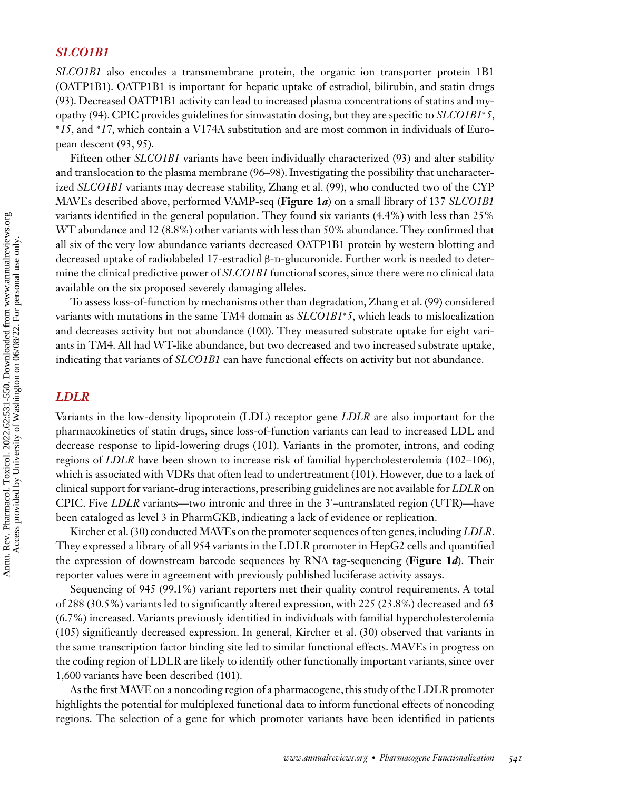# *SLCO1B1*

*SLCO1B1* also encodes a transmembrane protein, the organic ion transporter protein 1B1 (OATP1B1). OATP1B1 is important for hepatic uptake of estradiol, bilirubin, and statin drugs [\(93\)](#page-18-0). Decreased OATP1B1 activity can lead to increased plasma concentrations of statins and myopathy [\(94\)](#page-18-0). CPIC provides guidelines for simvastatin dosing, but they are specific to *SLCO1B1*∗*5*, <sup>∗</sup>*15*, and <sup>∗</sup>*17*, which contain a V174A substitution and are most common in individuals of European descent [\(93, 95\)](#page-18-0).

Fifteen other *SLCO1B1* variants have been individually characterized [\(93\)](#page-18-0) and alter stability and translocation to the plasma membrane [\(96–98\)](#page-18-0). Investigating the possibility that uncharacterized *SLCO1B1* variants may decrease stability, Zhang et al. [\(99\)](#page-18-0), who conducted two of the CYP MAVEs described above, performed VAMP-seq (**[Figure 1](#page-3-0)***a*) on a small library of 137 *SLCO1B1* variants identified in the general population. They found six variants (4.4%) with less than 25% WT abundance and 12 (8.8%) other variants with less than 50% abundance. They confirmed that all six of the very low abundance variants decreased OATP1B1 protein by western blotting and decreased uptake of radiolabeled 17-estradiol β-D-glucuronide. Further work is needed to determine the clinical predictive power of *SLCO1B1* functional scores, since there were no clinical data available on the six proposed severely damaging alleles.

To assess loss-of-function by mechanisms other than degradation, Zhang et al. [\(99\)](#page-18-0) considered variants with mutations in the same TM4 domain as *SLCO1B1*∗*5*, which leads to mislocalization and decreases activity but not abundance [\(100\)](#page-18-0). They measured substrate uptake for eight variants in TM4. All had WT-like abundance, but two decreased and two increased substrate uptake, indicating that variants of *SLCO1B1* can have functional effects on activity but not abundance.

# *LDLR*

Variants in the low-density lipoprotein (LDL) receptor gene *LDLR* are also important for the pharmacokinetics of statin drugs, since loss-of-function variants can lead to increased LDL and decrease response to lipid-lowering drugs [\(101\)](#page-18-0). Variants in the promoter, introns, and coding regions of *LDLR* have been shown to increase risk of familial hypercholesterolemia [\(102–106\)](#page-18-0), which is associated with VDRs that often lead to undertreatment [\(101\)](#page-18-0). However, due to a lack of clinical support for variant-drug interactions, prescribing guidelines are not available for *LDLR* on CPIC. Five *LDLR* variants—two intronic and three in the 3 –untranslated region (UTR)—have been cataloged as level 3 in PharmGKB, indicating a lack of evidence or replication.

Kircher et al. [\(30\)](#page-15-0) conducted MAVEs on the promoter sequences of ten genes, including *LDLR*. They expressed a library of all 954 variants in the LDLR promoter in HepG2 cells and quantified the expression of downstream barcode sequences by RNA tag-sequencing (**[Figure 1](#page-3-0)***d*). Their reporter values were in agreement with previously published luciferase activity assays.

Sequencing of 945 (99.1%) variant reporters met their quality control requirements. A total of 288 (30.5%) variants led to significantly altered expression, with 225 (23.8%) decreased and 63 (6.7%) increased. Variants previously identified in individuals with familial hypercholesterolemia [\(105\)](#page-18-0) significantly decreased expression. In general, Kircher et al. [\(30\)](#page-15-0) observed that variants in the same transcription factor binding site led to similar functional effects. MAVEs in progress on the coding region of LDLR are likely to identify other functionally important variants, since over 1,600 variants have been described [\(101\)](#page-18-0).

As the first MAVE on a noncoding region of a pharmacogene, this study of the LDLR promoter highlights the potential for multiplexed functional data to inform functional effects of noncoding regions. The selection of a gene for which promoter variants have been identified in patients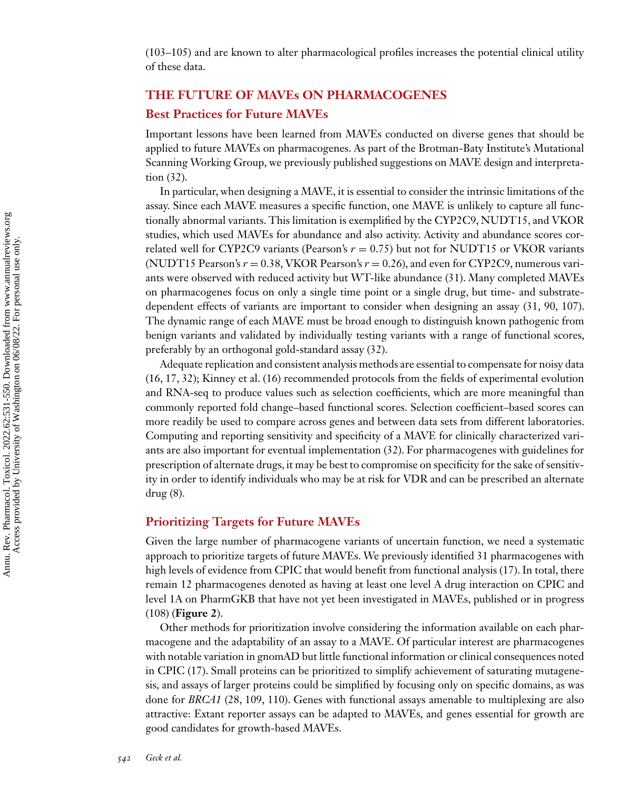[\(103–105\)](#page-18-0) and are known to alter pharmacological profiles increases the potential clinical utility of these data.

# **THE FUTURE OF MAVEs ON PHARMACOGENES Best Practices for Future MAVEs**

Important lessons have been learned from MAVEs conducted on diverse genes that should be applied to future MAVEs on pharmacogenes. As part of the Brotman-Baty Institute's Mutational Scanning Working Group, we previously published suggestions on MAVE design and interpretation [\(32\)](#page-15-0).

In particular, when designing a MAVE, it is essential to consider the intrinsic limitations of the assay. Since each MAVE measures a specific function, one MAVE is unlikely to capture all functionally abnormal variants. This limitation is exemplified by the CYP2C9, NUDT15, and VKOR studies, which used MAVEs for abundance and also activity. Activity and abundance scores correlated well for CYP2C9 variants (Pearson's  $r = 0.75$ ) but not for NUDT15 or VKOR variants (NUDT15 Pearson's  $r = 0.38$ , VKOR Pearson's  $r = 0.26$ ), and even for CYP2C9, numerous variants were observed with reduced activity but WT-like abundance [\(31\)](#page-15-0). Many completed MAVEs on pharmacogenes focus on only a single time point or a single drug, but time- and substratedependent effects of variants are important to consider when designing an assay [\(31,](#page-15-0) [90, 107\)](#page-18-0). The dynamic range of each MAVE must be broad enough to distinguish known pathogenic from benign variants and validated by individually testing variants with a range of functional scores, preferably by an orthogonal gold-standard assay [\(32\)](#page-15-0).

Adequate replication and consistent analysis methods are essential to compensate for noisy data [\(16, 17,](#page-14-0) [32\)](#page-15-0); Kinney et al. [\(16\)](#page-14-0) recommended protocols from the fields of experimental evolution and RNA-seq to produce values such as selection coefficients, which are more meaningful than commonly reported fold change–based functional scores. Selection coefficient–based scores can more readily be used to compare across genes and between data sets from different laboratories. Computing and reporting sensitivity and specificity of a MAVE for clinically characterized variants are also important for eventual implementation [\(32\)](#page-15-0). For pharmacogenes with guidelines for prescription of alternate drugs, it may be best to compromise on specificity for the sake of sensitivity in order to identify individuals who may be at risk for VDR and can be prescribed an alternate drug [\(8\)](#page-14-0).

### **Prioritizing Targets for Future MAVEs**

Given the large number of pharmacogene variants of uncertain function, we need a systematic approach to prioritize targets of future MAVEs. We previously identified 31 pharmacogenes with high levels of evidence from CPIC that would benefit from functional analysis [\(17\)](#page-14-0). In total, there remain 12 pharmacogenes denoted as having at least one level A drug interaction on CPIC and level 1A on PharmGKB that have not yet been investigated in MAVEs, published or in progress [\(108\)](#page-18-0) (**[Figure 2](#page-12-0)**).

Other methods for prioritization involve considering the information available on each pharmacogene and the adaptability of an assay to a MAVE. Of particular interest are pharmacogenes with notable variation in gnomAD but little functional information or clinical consequences noted in CPIC [\(17\)](#page-14-0). Small proteins can be prioritized to simplify achievement of saturating mutagenesis, and assays of larger proteins could be simplified by focusing only on specific domains, as was done for *BRCA1* [\(28,](#page-15-0) [109, 110\)](#page-18-0). Genes with functional assays amenable to multiplexing are also attractive: Extant reporter assays can be adapted to MAVEs, and genes essential for growth are good candidates for growth-based MAVEs.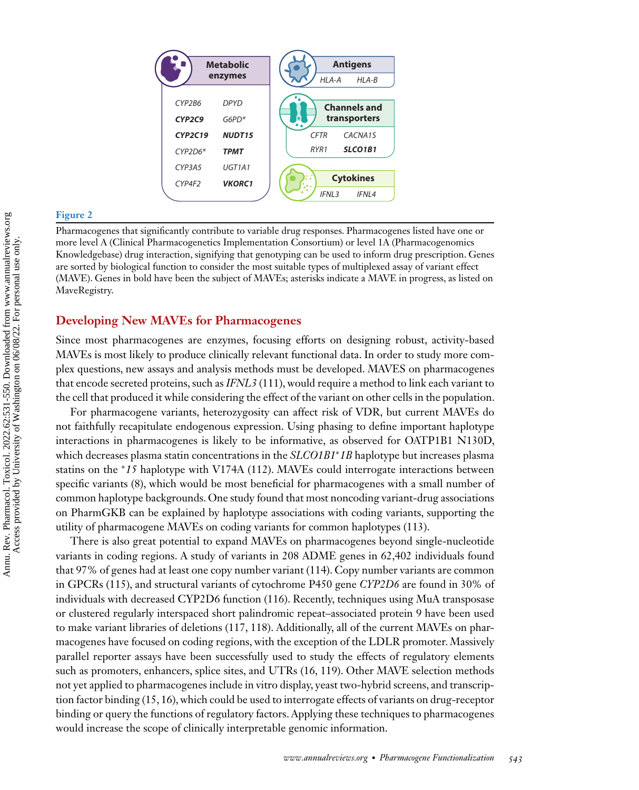<span id="page-12-0"></span>

#### **Figure 2**

Pharmacogenes that significantly contribute to variable drug responses. Pharmacogenes listed have one or more level A (Clinical Pharmacogenetics Implementation Consortium) or level 1A (Pharmacogenomics Knowledgebase) drug interaction, signifying that genotyping can be used to inform drug prescription. Genes are sorted by biological function to consider the most suitable types of multiplexed assay of variant effect (MAVE). Genes in bold have been the subject of MAVEs; asterisks indicate a MAVE in progress, as listed on MaveRegistry.

#### **Developing New MAVEs for Pharmacogenes**

Since most pharmacogenes are enzymes, focusing efforts on designing robust, activity-based MAVEs is most likely to produce clinically relevant functional data. In order to study more complex questions, new assays and analysis methods must be developed. MAVES on pharmacogenes that encode secreted proteins, such as *IFNL3* [\(111\)](#page-19-0), would require a method to link each variant to the cell that produced it while considering the effect of the variant on other cells in the population.

For pharmacogene variants, heterozygosity can affect risk of VDR, but current MAVEs do not faithfully recapitulate endogenous expression. Using phasing to define important haplotype interactions in pharmacogenes is likely to be informative, as observed for OATP1B1 N130D, which decreases plasma statin concentrations in the *SLCO1B1*∗*1B* haplotype but increases plasma statins on the <sup>∗</sup>*15* haplotype with V174A [\(112\)](#page-19-0). MAVEs could interrogate interactions between specific variants [\(8\)](#page-14-0), which would be most beneficial for pharmacogenes with a small number of common haplotype backgrounds. One study found that most noncoding variant-drug associations on PharmGKB can be explained by haplotype associations with coding variants, supporting the utility of pharmacogene MAVEs on coding variants for common haplotypes [\(113\)](#page-19-0).

There is also great potential to expand MAVEs on pharmacogenes beyond single-nucleotide variants in coding regions. A study of variants in 208 ADME genes in 62,402 individuals found that 97% of genes had at least one copy number variant [\(114\)](#page-19-0). Copy number variants are common in GPCRs [\(115\)](#page-19-0), and structural variants of cytochrome P450 gene *CYP2D6* are found in 30% of individuals with decreased CYP2D6 function [\(116\)](#page-19-0). Recently, techniques using MuA transposase or clustered regularly interspaced short palindromic repeat–associated protein 9 have been used to make variant libraries of deletions [\(117, 118\)](#page-19-0). Additionally, all of the current MAVEs on pharmacogenes have focused on coding regions, with the exception of the LDLR promoter. Massively parallel reporter assays have been successfully used to study the effects of regulatory elements such as promoters, enhancers, splice sites, and UTRs [\(16,](#page-14-0) [119\)](#page-19-0). Other MAVE selection methods not yet applied to pharmacogenes include in vitro display, yeast two-hybrid screens, and transcription factor binding [\(15, 16\)](#page-14-0), which could be used to interrogate effects of variants on drug-receptor binding or query the functions of regulatory factors. Applying these techniques to pharmacogenes would increase the scope of clinically interpretable genomic information.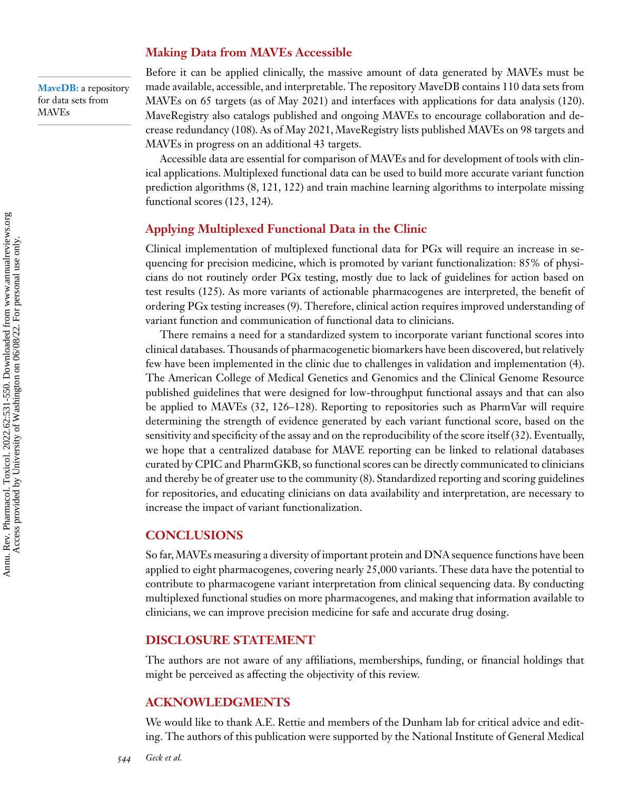#### **Making Data from MAVEs Accessible**

**MaveDB:** a repository for data sets from MAVEs

Before it can be applied clinically, the massive amount of data generated by MAVEs must be made available, accessible, and interpretable. The repository MaveDB contains 110 data sets from MAVEs on 65 targets (as of May 2021) and interfaces with applications for data analysis [\(120\)](#page-19-0). MaveRegistry also catalogs published and ongoing MAVEs to encourage collaboration and decrease redundancy [\(108\)](#page-18-0). As of May 2021, MaveRegistry lists published MAVEs on 98 targets and MAVEs in progress on an additional 43 targets.

Accessible data are essential for comparison of MAVEs and for development of tools with clinical applications. Multiplexed functional data can be used to build more accurate variant function prediction algorithms [\(8,](#page-14-0) [121, 122\)](#page-19-0) and train machine learning algorithms to interpolate missing functional scores [\(123, 124\)](#page-19-0).

# **Applying Multiplexed Functional Data in the Clinic**

Clinical implementation of multiplexed functional data for PGx will require an increase in sequencing for precision medicine, which is promoted by variant functionalization: 85% of physicians do not routinely order PGx testing, mostly due to lack of guidelines for action based on test results [\(125\)](#page-19-0). As more variants of actionable pharmacogenes are interpreted, the benefit of ordering PGx testing increases [\(9\)](#page-14-0). Therefore, clinical action requires improved understanding of variant function and communication of functional data to clinicians.

There remains a need for a standardized system to incorporate variant functional scores into clinical databases. Thousands of pharmacogenetic biomarkers have been discovered, but relatively few have been implemented in the clinic due to challenges in validation and implementation [\(4\)](#page-14-0). The American College of Medical Genetics and Genomics and the Clinical Genome Resource published guidelines that were designed for low-throughput functional assays and that can also be applied to MAVEs [\(32,](#page-15-0) [126–128\)](#page-19-0). Reporting to repositories such as PharmVar will require determining the strength of evidence generated by each variant functional score, based on the sensitivity and specificity of the assay and on the reproducibility of the score itself [\(32\)](#page-15-0). Eventually, we hope that a centralized database for MAVE reporting can be linked to relational databases curated by CPIC and PharmGKB, so functional scores can be directly communicated to clinicians and thereby be of greater use to the community [\(8\)](#page-14-0). Standardized reporting and scoring guidelines for repositories, and educating clinicians on data availability and interpretation, are necessary to increase the impact of variant functionalization.

#### **CONCLUSIONS**

So far,MAVEs measuring a diversity of important protein and DNA sequence functions have been applied to eight pharmacogenes, covering nearly 25,000 variants. These data have the potential to contribute to pharmacogene variant interpretation from clinical sequencing data. By conducting multiplexed functional studies on more pharmacogenes, and making that information available to clinicians, we can improve precision medicine for safe and accurate drug dosing.

# **DISCLOSURE STATEMENT**

The authors are not aware of any affiliations, memberships, funding, or financial holdings that might be perceived as affecting the objectivity of this review.

#### **ACKNOWLEDGMENTS**

We would like to thank A.E. Rettie and members of the Dunham lab for critical advice and editing. The authors of this publication were supported by the National Institute of General Medical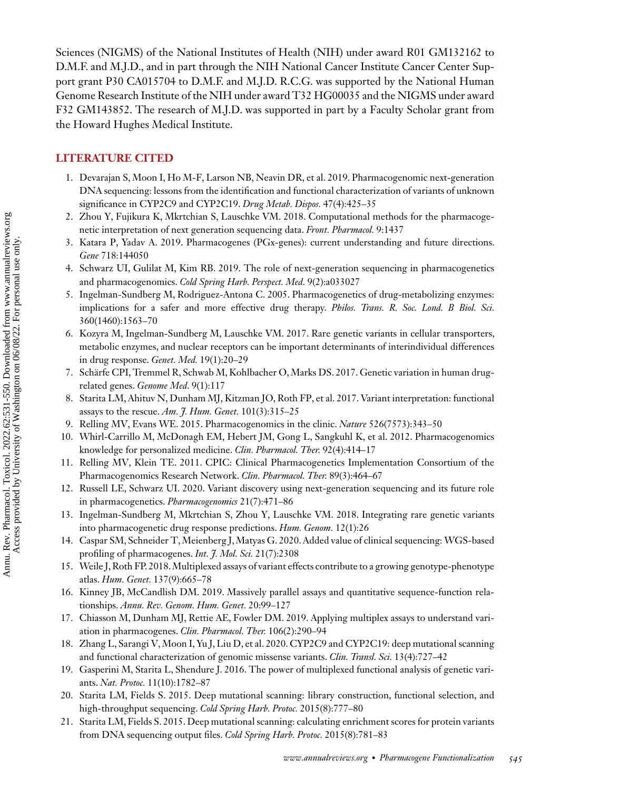<span id="page-14-0"></span>Sciences (NIGMS) of the National Institutes of Health (NIH) under award R01 GM132162 to D.M.F. and M.J.D., and in part through the NIH National Cancer Institute Cancer Center Support grant P30 CA015704 to D.M.F. and M.J.D. R.C.G. was supported by the National Human Genome Research Institute of the NIH under award T32 HG00035 and the NIGMS under award F32 GM143852. The research of M.J.D. was supported in part by a Faculty Scholar grant from the Howard Hughes Medical Institute.

# **LITERATURE CITED**

- 1. Devarajan S, Moon I, Ho M-F, Larson NB, Neavin DR, et al. 2019. Pharmacogenomic next-generation DNA sequencing: lessons from the identification and functional characterization of variants of unknown significance in CYP2C9 and CYP2C19. *Drug Metab. Dispos.* 47(4):425–35
- 2. Zhou Y, Fujikura K, Mkrtchian S, Lauschke VM. 2018. Computational methods for the pharmacogenetic interpretation of next generation sequencing data. *Front. Pharmacol.* 9:1437
- 3. Katara P, Yadav A. 2019. Pharmacogenes (PGx-genes): current understanding and future directions. *Gene* 718:144050
- 4. Schwarz UI, Gulilat M, Kim RB. 2019. The role of next-generation sequencing in pharmacogenetics and pharmacogenomics. *Cold Spring Harb. Perspect. Med.* 9(2):a033027
- 5. Ingelman-Sundberg M, Rodriguez-Antona C. 2005. Pharmacogenetics of drug-metabolizing enzymes: implications for a safer and more effective drug therapy. *Philos. Trans. R. Soc. Lond. B Biol. Sci.* 360(1460):1563–70
- 6. Kozyra M, Ingelman-Sundberg M, Lauschke VM. 2017. Rare genetic variants in cellular transporters, metabolic enzymes, and nuclear receptors can be important determinants of interindividual differences in drug response. *Genet. Med.* 19(1):20–29
- 7. Schärfe CPI, Tremmel R, Schwab M, Kohlbacher O, Marks DS. 2017. Genetic variation in human drugrelated genes. *Genome Med*. 9(1):117
- 8. Starita LM, Ahituv N, Dunham MJ, Kitzman JO, Roth FP, et al. 2017. Variant interpretation: functional assays to the rescue. *Am. J. Hum. Genet.* 101(3):315–25
- 9. Relling MV, Evans WE. 2015. Pharmacogenomics in the clinic. *Nature* 526(7573):343–50
- 10. Whirl-Carrillo M, McDonagh EM, Hebert JM, Gong L, Sangkuhl K, et al. 2012. Pharmacogenomics knowledge for personalized medicine. *Clin. Pharmacol. Ther.* 92(4):414–17
- 11. Relling MV, Klein TE. 2011. CPIC: Clinical Pharmacogenetics Implementation Consortium of the Pharmacogenomics Research Network. *Clin. Pharmacol. Ther.* 89(3):464–67
- 12. Russell LE, Schwarz UI. 2020. Variant discovery using next-generation sequencing and its future role in pharmacogenetics. *Pharmacogenomics* 21(7):471–86
- 13. Ingelman-Sundberg M, Mkrtchian S, Zhou Y, Lauschke VM. 2018. Integrating rare genetic variants into pharmacogenetic drug response predictions. *Hum. Genom.* 12(1):26
- 14. Caspar SM, Schneider T,Meienberg J,Matyas G. 2020. Added value of clinical sequencing: WGS-based profiling of pharmacogenes. *Int. J. Mol. Sci.* 21(7):2308
- 15. Weile J, Roth FP. 2018.Multiplexed assays of variant effects contribute to a growing genotype-phenotype atlas. *Hum. Genet.* 137(9):665–78
- 16. Kinney JB, McCandlish DM. 2019. Massively parallel assays and quantitative sequence-function relationships. *Annu. Rev. Genom. Hum. Genet.* 20:99–127
- 17. Chiasson M, Dunham MJ, Rettie AE, Fowler DM. 2019. Applying multiplex assays to understand variation in pharmacogenes. *Clin. Pharmacol. Ther.* 106(2):290–94
- 18. Zhang L, Sarangi V, Moon I, Yu J, Liu D, et al. 2020. CYP2C9 and CYP2C19: deep mutational scanning and functional characterization of genomic missense variants. *Clin. Transl. Sci.* 13(4):727–42
- 19. Gasperini M, Starita L, Shendure J. 2016. The power of multiplexed functional analysis of genetic variants. *Nat. Protoc.* 11(10):1782–87
- 20. Starita LM, Fields S. 2015. Deep mutational scanning: library construction, functional selection, and high-throughput sequencing. *Cold Spring Harb. Protoc.* 2015(8):777–80
- 21. Starita LM, Fields S. 2015. Deep mutational scanning: calculating enrichment scores for protein variants from DNA sequencing output files. *Cold Spring Harb. Protoc.* 2015(8):781–83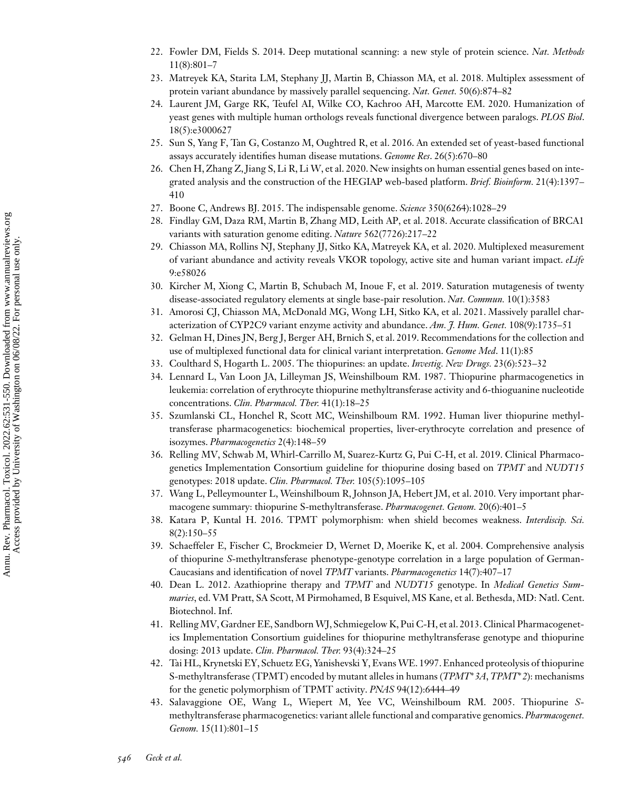- <span id="page-15-0"></span>22. Fowler DM, Fields S. 2014. Deep mutational scanning: a new style of protein science. *Nat. Methods* 11(8):801–7
- 23. Matreyek KA, Starita LM, Stephany JJ, Martin B, Chiasson MA, et al. 2018. Multiplex assessment of protein variant abundance by massively parallel sequencing. *Nat. Genet.* 50(6):874–82
- 24. Laurent JM, Garge RK, Teufel AI, Wilke CO, Kachroo AH, Marcotte EM. 2020. Humanization of yeast genes with multiple human orthologs reveals functional divergence between paralogs. *PLOS Biol*. 18(5):e3000627
- 25. Sun S, Yang F, Tan G, Costanzo M, Oughtred R, et al. 2016. An extended set of yeast-based functional assays accurately identifies human disease mutations. *Genome Res*. 26(5):670–80
- 26. Chen H, Zhang Z, Jiang S, Li R, Li W, et al. 2020. New insights on human essential genes based on integrated analysis and the construction of the HEGIAP web-based platform. *Brief. Bioinform.* 21(4):1397– 410
- 27. Boone C, Andrews BJ. 2015. The indispensable genome. *Science* 350(6264):1028–29
- 28. Findlay GM, Daza RM, Martin B, Zhang MD, Leith AP, et al. 2018. Accurate classification of BRCA1 variants with saturation genome editing. *Nature* 562(7726):217–22
- 29. Chiasson MA, Rollins NJ, Stephany JJ, Sitko KA, Matreyek KA, et al. 2020. Multiplexed measurement of variant abundance and activity reveals VKOR topology, active site and human variant impact. *eLife* 9:e58026
- 30. Kircher M, Xiong C, Martin B, Schubach M, Inoue F, et al. 2019. Saturation mutagenesis of twenty disease-associated regulatory elements at single base-pair resolution. *Nat. Commun.* 10(1):3583
- 31. Amorosi CJ, Chiasson MA, McDonald MG, Wong LH, Sitko KA, et al. 2021. Massively parallel characterization of CYP2C9 variant enzyme activity and abundance. *Am. J. Hum. Genet.* 108(9):1735–51
- 32. Gelman H, Dines JN, Berg J, Berger AH, Brnich S, et al. 2019. Recommendations for the collection and use of multiplexed functional data for clinical variant interpretation. *Genome Med*. 11(1):85
- 33. Coulthard S, Hogarth L. 2005. The thiopurines: an update. *Investig. New Drugs.* 23(6):523–32
- 34. Lennard L, Van Loon JA, Lilleyman JS, Weinshilboum RM. 1987. Thiopurine pharmacogenetics in leukemia: correlation of erythrocyte thiopurine methyltransferase activity and 6-thioguanine nucleotide concentrations. *Clin. Pharmacol. Ther.* 41(1):18–25
- 35. Szumlanski CL, Honchel R, Scott MC, Weinshilboum RM. 1992. Human liver thiopurine methyltransferase pharmacogenetics: biochemical properties, liver-erythrocyte correlation and presence of isozymes. *Pharmacogenetics* 2(4):148–59
- 36. Relling MV, Schwab M, Whirl-Carrillo M, Suarez-Kurtz G, Pui C-H, et al. 2019. Clinical Pharmacogenetics Implementation Consortium guideline for thiopurine dosing based on *TPMT* and *NUDT15* genotypes: 2018 update. *Clin. Pharmacol. Ther.* 105(5):1095–105
- 37. Wang L, Pelleymounter L, Weinshilboum R, Johnson JA, Hebert JM, et al. 2010. Very important pharmacogene summary: thiopurine S-methyltransferase. *Pharmacogenet. Genom.* 20(6):401–5
- 38. Katara P, Kuntal H. 2016. TPMT polymorphism: when shield becomes weakness. *Interdiscip. Sci.* 8(2):150–55
- 39. Schaeffeler E, Fischer C, Brockmeier D, Wernet D, Moerike K, et al. 2004. Comprehensive analysis of thiopurine *S*-methyltransferase phenotype-genotype correlation in a large population of German-Caucasians and identification of novel *TPMT* variants. *Pharmacogenetics* 14(7):407–17
- 40. Dean L. 2012. Azathioprine therapy and *TPMT* and *NUDT15* genotype. In *Medical Genetics Summaries*, ed. VM Pratt, SA Scott, M Pirmohamed, B Esquivel, MS Kane, et al. Bethesda, MD: Natl. Cent. Biotechnol. Inf.
- 41. Relling MV, Gardner EE, Sandborn WJ, Schmiegelow K, Pui C-H, et al. 2013. Clinical Pharmacogenetics Implementation Consortium guidelines for thiopurine methyltransferase genotype and thiopurine dosing: 2013 update. *Clin. Pharmacol. Ther.* 93(4):324–25
- 42. Tai HL, Krynetski EY, Schuetz EG, Yanishevski Y, Evans WE. 1997. Enhanced proteolysis of thiopurine S-methyltransferase (TPMT) encoded by mutant alleles in humans (*TPMT*∗*3A*, *TPMT*∗*2*): mechanisms for the genetic polymorphism of TPMT activity. *PNAS* 94(12):6444–49
- 43. Salavaggione OE, Wang L, Wiepert M, Yee VC, Weinshilboum RM. 2005. Thiopurine *S*methyltransferase pharmacogenetics: variant allele functional and comparative genomics.*Pharmacogenet. Genom.* 15(11):801–15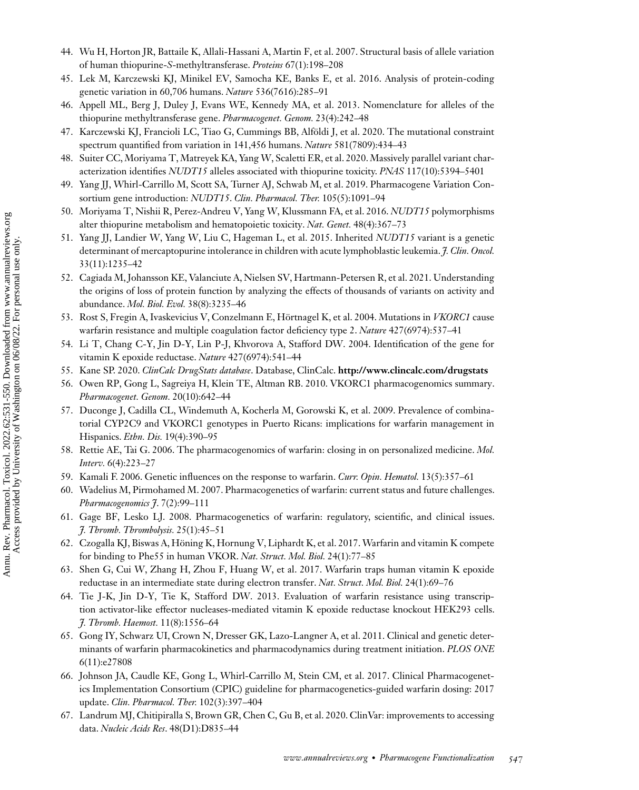- <span id="page-16-0"></span>44. Wu H, Horton JR, Battaile K, Allali-Hassani A, Martin F, et al. 2007. Structural basis of allele variation of human thiopurine-*S*-methyltransferase. *Proteins* 67(1):198–208
- 45. Lek M, Karczewski KJ, Minikel EV, Samocha KE, Banks E, et al. 2016. Analysis of protein-coding genetic variation in 60,706 humans. *Nature* 536(7616):285–91
- 46. Appell ML, Berg J, Duley J, Evans WE, Kennedy MA, et al. 2013. Nomenclature for alleles of the thiopurine methyltransferase gene. *Pharmacogenet. Genom.* 23(4):242–48
- 47. Karczewski KJ, Francioli LC, Tiao G, Cummings BB, Alföldi J, et al. 2020. The mutational constraint spectrum quantified from variation in 141,456 humans. *Nature* 581(7809):434–43
- 48. Suiter CC, Moriyama T, Matreyek KA, Yang W, Scaletti ER, et al. 2020. Massively parallel variant characterization identifies *NUDT15* alleles associated with thiopurine toxicity. *PNAS* 117(10):5394–5401
- 49. Yang JJ, Whirl-Carrillo M, Scott SA, Turner AJ, Schwab M, et al. 2019. Pharmacogene Variation Consortium gene introduction: *NUDT15*. *Clin. Pharmacol. Ther.* 105(5):1091–94
- 50. Moriyama T, Nishii R, Perez-Andreu V, Yang W, Klussmann FA, et al. 2016. *NUDT15* polymorphisms alter thiopurine metabolism and hematopoietic toxicity. *Nat. Genet.* 48(4):367–73
- 51. Yang JJ, Landier W, Yang W, Liu C, Hageman L, et al. 2015. Inherited *NUDT15* variant is a genetic determinant of mercaptopurine intolerance in children with acute lymphoblastic leukemia. *J. Clin. Oncol.* 33(11):1235–42
- 52. Cagiada M, Johansson KE, Valanciute A, Nielsen SV, Hartmann-Petersen R, et al. 2021. Understanding the origins of loss of protein function by analyzing the effects of thousands of variants on activity and abundance. *Mol. Biol. Evol.* 38(8):3235–46
- 53. Rost S, Fregin A, Ivaskevicius V, Conzelmann E, Hörtnagel K, et al. 2004. Mutations in *VKORC1* cause warfarin resistance and multiple coagulation factor deficiency type 2. *Nature* 427(6974):537–41
- 54. Li T, Chang C-Y, Jin D-Y, Lin P-J, Khvorova A, Stafford DW. 2004. Identification of the gene for vitamin K epoxide reductase. *Nature* 427(6974):541–44
- 55. Kane SP. 2020. *ClinCalc DrugStats database*. Database, ClinCalc. **<http://www.clincalc.com/drugstats>**
- 56. Owen RP, Gong L, Sagreiya H, Klein TE, Altman RB. 2010. VKORC1 pharmacogenomics summary. *Pharmacogenet. Genom.* 20(10):642–44
- 57. Duconge J, Cadilla CL, Windemuth A, Kocherla M, Gorowski K, et al. 2009. Prevalence of combinatorial CYP2C9 and VKORC1 genotypes in Puerto Ricans: implications for warfarin management in Hispanics. *Ethn. Dis.* 19(4):390–95
- 58. Rettie AE, Tai G. 2006. The pharmacogenomics of warfarin: closing in on personalized medicine. *Mol. Interv.* 6(4):223–27
- 59. Kamali F. 2006. Genetic influences on the response to warfarin. *Curr. Opin. Hematol.* 13(5):357–61
- 60. Wadelius M, Pirmohamed M. 2007. Pharmacogenetics of warfarin: current status and future challenges. *Pharmacogenomics J*. 7(2):99–111
- 61. Gage BF, Lesko LJ. 2008. Pharmacogenetics of warfarin: regulatory, scientific, and clinical issues. *J. Thromb. Thrombolysis.* 25(1):45–51
- 62. Czogalla KJ, Biswas A, Höning K, Hornung V, Liphardt K, et al. 2017.Warfarin and vitamin K compete for binding to Phe55 in human VKOR. *Nat. Struct. Mol. Biol.* 24(1):77–85
- 63. Shen G, Cui W, Zhang H, Zhou F, Huang W, et al. 2017. Warfarin traps human vitamin K epoxide reductase in an intermediate state during electron transfer. *Nat. Struct. Mol. Biol.* 24(1):69–76
- 64. Tie J-K, Jin D-Y, Tie K, Stafford DW. 2013. Evaluation of warfarin resistance using transcription activator-like effector nucleases-mediated vitamin K epoxide reductase knockout HEK293 cells. *J. Thromb. Haemost.* 11(8):1556–64
- 65. Gong IY, Schwarz UI, Crown N, Dresser GK, Lazo-Langner A, et al. 2011. Clinical and genetic determinants of warfarin pharmacokinetics and pharmacodynamics during treatment initiation. *PLOS ONE* 6(11):e27808
- 66. Johnson JA, Caudle KE, Gong L, Whirl-Carrillo M, Stein CM, et al. 2017. Clinical Pharmacogenetics Implementation Consortium (CPIC) guideline for pharmacogenetics-guided warfarin dosing: 2017 update. *Clin. Pharmacol. Ther.* 102(3):397–404
- 67. Landrum MJ, Chitipiralla S, Brown GR, Chen C, Gu B, et al. 2020. ClinVar: improvements to accessing data. *Nucleic Acids Res*. 48(D1):D835–44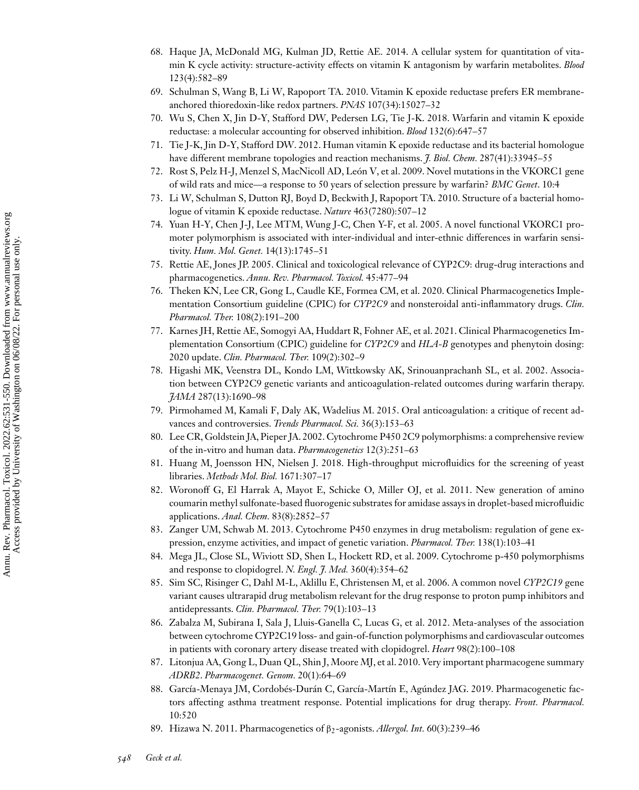- <span id="page-17-0"></span>68. Haque JA, McDonald MG, Kulman JD, Rettie AE. 2014. A cellular system for quantitation of vitamin K cycle activity: structure-activity effects on vitamin K antagonism by warfarin metabolites. *Blood* 123(4):582–89
- 69. Schulman S, Wang B, Li W, Rapoport TA. 2010. Vitamin K epoxide reductase prefers ER membraneanchored thioredoxin-like redox partners. *PNAS* 107(34):15027–32
- 70. Wu S, Chen X, Jin D-Y, Stafford DW, Pedersen LG, Tie J-K. 2018. Warfarin and vitamin K epoxide reductase: a molecular accounting for observed inhibition. *Blood* 132(6):647–57
- 71. Tie J-K, Jin D-Y, Stafford DW. 2012. Human vitamin K epoxide reductase and its bacterial homologue have different membrane topologies and reaction mechanisms. *J. Biol. Chem.* 287(41):33945–55
- 72. Rost S, Pelz H-J, Menzel S, MacNicoll AD, León V, et al. 2009. Novel mutations in the VKORC1 gene of wild rats and mice—a response to 50 years of selection pressure by warfarin? *BMC Genet*. 10:4
- 73. Li W, Schulman S, Dutton RJ, Boyd D, Beckwith J, Rapoport TA. 2010. Structure of a bacterial homologue of vitamin K epoxide reductase. *Nature* 463(7280):507–12
- 74. Yuan H-Y, Chen J-J, Lee MTM, Wung J-C, Chen Y-F, et al. 2005. A novel functional VKORC1 promoter polymorphism is associated with inter-individual and inter-ethnic differences in warfarin sensitivity. *Hum. Mol. Genet.* 14(13):1745–51
- 75. Rettie AE, Jones JP. 2005. Clinical and toxicological relevance of CYP2C9: drug-drug interactions and pharmacogenetics. *Annu. Rev. Pharmacol. Toxicol.* 45:477–94
- 76. Theken KN, Lee CR, Gong L, Caudle KE, Formea CM, et al. 2020. Clinical Pharmacogenetics Implementation Consortium guideline (CPIC) for *CYP2C9* and nonsteroidal anti-inflammatory drugs. *Clin. Pharmacol. Ther.* 108(2):191–200
- 77. Karnes JH, Rettie AE, Somogyi AA, Huddart R, Fohner AE, et al. 2021. Clinical Pharmacogenetics Implementation Consortium (CPIC) guideline for *CYP2C9* and *HLA-B* genotypes and phenytoin dosing: 2020 update. *Clin. Pharmacol. Ther.* 109(2):302–9
- 78. Higashi MK, Veenstra DL, Kondo LM, Wittkowsky AK, Srinouanprachanh SL, et al. 2002. Association between CYP2C9 genetic variants and anticoagulation-related outcomes during warfarin therapy. *JAMA* 287(13):1690–98
- 79. Pirmohamed M, Kamali F, Daly AK, Wadelius M. 2015. Oral anticoagulation: a critique of recent advances and controversies. *Trends Pharmacol. Sci.* 36(3):153–63
- 80. Lee CR, Goldstein JA, Pieper JA. 2002. Cytochrome P450 2C9 polymorphisms: a comprehensive review of the in-vitro and human data. *Pharmacogenetics* 12(3):251–63
- 81. Huang M, Joensson HN, Nielsen J. 2018. High-throughput microfluidics for the screening of yeast libraries. *Methods Mol. Biol.* 1671:307–17
- 82. Woronoff G, El Harrak A, Mayot E, Schicke O, Miller OJ, et al. 2011. New generation of amino coumarin methyl sulfonate-based fluorogenic substrates for amidase assays in droplet-based microfluidic applications. *Anal. Chem.* 83(8):2852–57
- 83. Zanger UM, Schwab M. 2013. Cytochrome P450 enzymes in drug metabolism: regulation of gene expression, enzyme activities, and impact of genetic variation. *Pharmacol. Ther.* 138(1):103–41
- 84. Mega JL, Close SL, Wiviott SD, Shen L, Hockett RD, et al. 2009. Cytochrome p-450 polymorphisms and response to clopidogrel. *N. Engl. J. Med.* 360(4):354–62
- 85. Sim SC, Risinger C, Dahl M-L, Aklillu E, Christensen M, et al. 2006. A common novel *CYP2C19* gene variant causes ultrarapid drug metabolism relevant for the drug response to proton pump inhibitors and antidepressants. *Clin. Pharmacol. Ther.* 79(1):103–13
- 86. Zabalza M, Subirana I, Sala J, Lluis-Ganella C, Lucas G, et al. 2012. Meta-analyses of the association between cytochrome CYP2C19 loss- and gain-of-function polymorphisms and cardiovascular outcomes in patients with coronary artery disease treated with clopidogrel. *Heart* 98(2):100–108
- 87. Litonjua AA, Gong L, Duan QL, Shin J, Moore MJ, et al. 2010. Very important pharmacogene summary *ADRB2*. *Pharmacogenet. Genom.* 20(1):64–69
- 88. García-Menaya JM, Cordobés-Durán C, García-Martín E, Agúndez JAG. 2019. Pharmacogenetic factors affecting asthma treatment response. Potential implications for drug therapy. *Front. Pharmacol.* 10:520
- 89. Hizawa N. 2011. Pharmacogenetics of β2-agonists. *Allergol. Int.* 60(3):239–46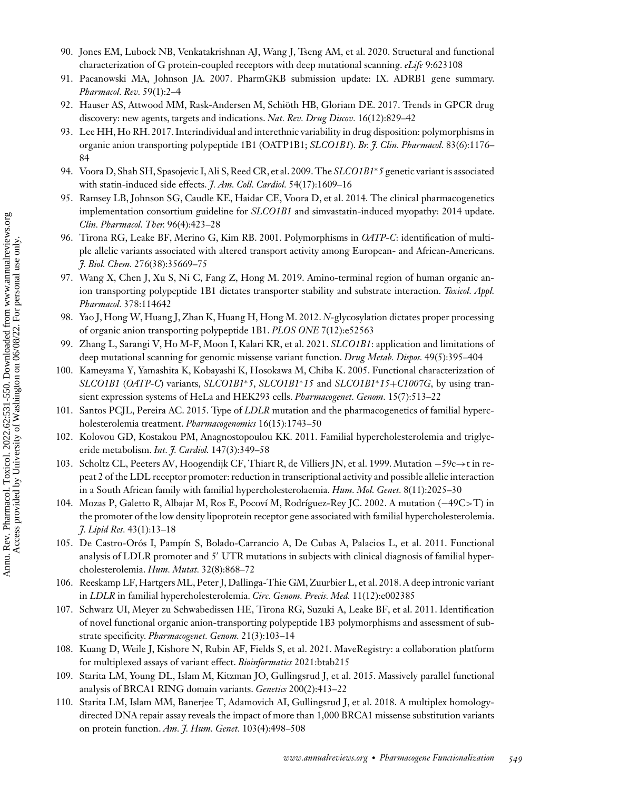- <span id="page-18-0"></span>90. Jones EM, Lubock NB, Venkatakrishnan AJ, Wang J, Tseng AM, et al. 2020. Structural and functional characterization of G protein-coupled receptors with deep mutational scanning. *eLife* 9:623108
- 91. Pacanowski MA, Johnson JA. 2007. PharmGKB submission update: IX. ADRB1 gene summary. *Pharmacol. Rev.* 59(1):2–4
- 92. Hauser AS, Attwood MM, Rask-Andersen M, Schiöth HB, Gloriam DE. 2017. Trends in GPCR drug discovery: new agents, targets and indications. *Nat. Rev. Drug Discov.* 16(12):829–42
- 93. Lee HH, Ho RH. 2017. Interindividual and interethnic variability in drug disposition: polymorphisms in organic anion transporting polypeptide 1B1 (OATP1B1; *SLCO1B1*). *Br. J. Clin. Pharmacol.* 83(6):1176– 84
- 94. Voora D, Shah SH, Spasojevic I, Ali S, Reed CR, et al. 2009. The *SLCO1B1*∗*5* genetic variant is associated with statin-induced side effects. *J. Am. Coll. Cardiol.* 54(17):1609–16
- 95. Ramsey LB, Johnson SG, Caudle KE, Haidar CE, Voora D, et al. 2014. The clinical pharmacogenetics implementation consortium guideline for *SLCO1B1* and simvastatin-induced myopathy: 2014 update. *Clin. Pharmacol. Ther.* 96(4):423–28
- 96. Tirona RG, Leake BF, Merino G, Kim RB. 2001. Polymorphisms in *OATP-C*: identification of multiple allelic variants associated with altered transport activity among European- and African-Americans. *J. Biol. Chem.* 276(38):35669–75
- 97. Wang X, Chen J, Xu S, Ni C, Fang Z, Hong M. 2019. Amino-terminal region of human organic anion transporting polypeptide 1B1 dictates transporter stability and substrate interaction. *Toxicol. Appl. Pharmacol.* 378:114642
- 98. Yao J, Hong W, Huang J, Zhan K, Huang H, Hong M. 2012. *N*-glycosylation dictates proper processing of organic anion transporting polypeptide 1B1. *PLOS ONE* 7(12):e52563
- 99. Zhang L, Sarangi V, Ho M-F, Moon I, Kalari KR, et al. 2021. *SLCO1B1*: application and limitations of deep mutational scanning for genomic missense variant function. *Drug Metab. Dispos.* 49(5):395–404
- 100. Kameyama Y, Yamashita K, Kobayashi K, Hosokawa M, Chiba K. 2005. Functional characterization of *SLCO1B1* (*OATP-C*) variants, *SLCO1B1*∗*5*, *SLCO1B1*∗*15* and *SLCO1B1*∗*15*+*C1007G*, by using transient expression systems of HeLa and HEK293 cells. *Pharmacogenet. Genom.* 15(7):513–22
- 101. Santos PCJL, Pereira AC. 2015. Type of *LDLR* mutation and the pharmacogenetics of familial hypercholesterolemia treatment. *Pharmacogenomics* 16(15):1743–50
- 102. Kolovou GD, Kostakou PM, Anagnostopoulou KK. 2011. Familial hypercholesterolemia and triglyceride metabolism. *Int. J. Cardiol.* 147(3):349–58
- 103. Scholtz CL, Peeters AV, Hoogendijk CF, Thiart R, de Villiers JN, et al. 1999. Mutation −59c→t in repeat 2 of the LDL receptor promoter: reduction in transcriptional activity and possible allelic interaction in a South African family with familial hypercholesterolaemia. *Hum. Mol. Genet.* 8(11):2025–30
- 104. Mozas P, Galetto R, Albajar M, Ros E, Pocoví M, Rodríguez-Rey JC. 2002. A mutation (−49C>T) in the promoter of the low density lipoprotein receptor gene associated with familial hypercholesterolemia. *J. Lipid Res.* 43(1):13–18
- 105. De Castro-Orós I, Pampín S, Bolado-Carrancio A, De Cubas A, Palacios L, et al. 2011. Functional analysis of LDLR promoter and 5' UTR mutations in subjects with clinical diagnosis of familial hypercholesterolemia. *Hum. Mutat.* 32(8):868–72
- 106. Reeskamp LF, Hartgers ML, Peter J, Dallinga-Thie GM, Zuurbier L, et al. 2018. A deep intronic variant in *LDLR* in familial hypercholesterolemia. *Circ. Genom. Precis. Med.* 11(12):e002385
- 107. Schwarz UI, Meyer zu Schwabedissen HE, Tirona RG, Suzuki A, Leake BF, et al. 2011. Identification of novel functional organic anion-transporting polypeptide 1B3 polymorphisms and assessment of substrate specificity. *Pharmacogenet. Genom.* 21(3):103–14
- 108. Kuang D, Weile J, Kishore N, Rubin AF, Fields S, et al. 2021. MaveRegistry: a collaboration platform for multiplexed assays of variant effect. *Bioinformatics* 2021:btab215
- 109. Starita LM, Young DL, Islam M, Kitzman JO, Gullingsrud J, et al. 2015. Massively parallel functional analysis of BRCA1 RING domain variants. *Genetics* 200(2):413–22
- 110. Starita LM, Islam MM, Banerjee T, Adamovich AI, Gullingsrud J, et al. 2018. A multiplex homologydirected DNA repair assay reveals the impact of more than 1,000 BRCA1 missense substitution variants on protein function. *Am. J. Hum. Genet.* 103(4):498–508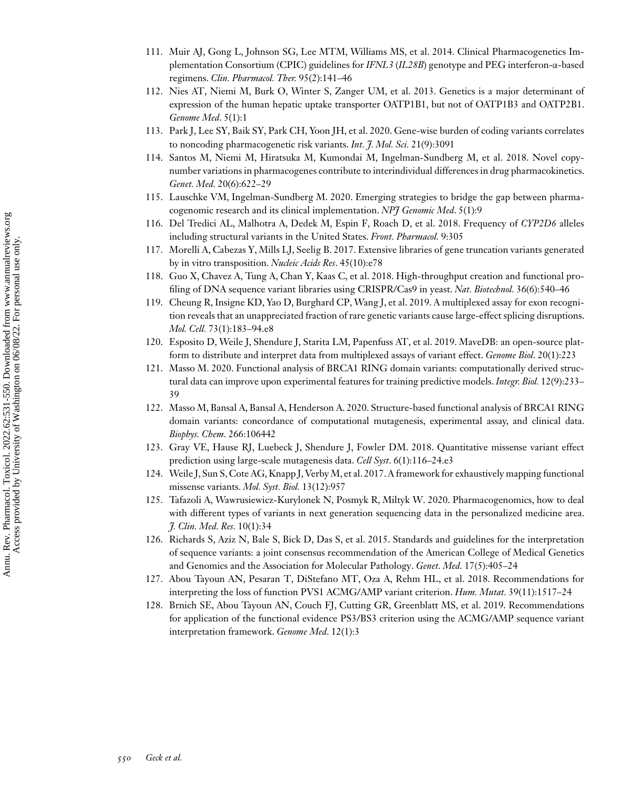- <span id="page-19-0"></span>111. Muir AJ, Gong L, Johnson SG, Lee MTM, Williams MS, et al. 2014. Clinical Pharmacogenetics Implementation Consortium (CPIC) guidelines for *IFNL3* (*IL28B*) genotype and PEG interferon-α-based regimens. *Clin. Pharmacol. Ther.* 95(2):141–46
- 112. Nies AT, Niemi M, Burk O, Winter S, Zanger UM, et al. 2013. Genetics is a major determinant of expression of the human hepatic uptake transporter OATP1B1, but not of OATP1B3 and OATP2B1. *Genome Med*. 5(1):1
- 113. Park J, Lee SY, Baik SY, Park CH, Yoon JH, et al. 2020. Gene-wise burden of coding variants correlates to noncoding pharmacogenetic risk variants. *Int. J. Mol. Sci.* 21(9):3091
- 114. Santos M, Niemi M, Hiratsuka M, Kumondai M, Ingelman-Sundberg M, et al. 2018. Novel copynumber variations in pharmacogenes contribute to interindividual differences in drug pharmacokinetics. *Genet. Med.* 20(6):622–29
- 115. Lauschke VM, Ingelman-Sundberg M. 2020. Emerging strategies to bridge the gap between pharmacogenomic research and its clinical implementation. *NPJ Genomic Med*. 5(1):9
- 116. Del Tredici AL, Malhotra A, Dedek M, Espin F, Roach D, et al. 2018. Frequency of *CYP2D6* alleles including structural variants in the United States. *Front. Pharmacol.* 9:305
- 117. Morelli A, Cabezas Y, Mills LJ, Seelig B. 2017. Extensive libraries of gene truncation variants generated by in vitro transposition. *Nucleic Acids Res*. 45(10):e78
- 118. Guo X, Chavez A, Tung A, Chan Y, Kaas C, et al. 2018. High-throughput creation and functional profiling of DNA sequence variant libraries using CRISPR/Cas9 in yeast. *Nat. Biotechnol.* 36(6):540–46
- 119. Cheung R, Insigne KD, Yao D, Burghard CP, Wang J, et al. 2019. A multiplexed assay for exon recognition reveals that an unappreciated fraction of rare genetic variants cause large-effect splicing disruptions. *Mol. Cell.* 73(1):183–94.e8
- 120. Esposito D, Weile J, Shendure J, Starita LM, Papenfuss AT, et al. 2019. MaveDB: an open-source platform to distribute and interpret data from multiplexed assays of variant effect. *Genome Biol*. 20(1):223
- 121. Masso M. 2020. Functional analysis of BRCA1 RING domain variants: computationally derived structural data can improve upon experimental features for training predictive models. *Integr. Biol.* 12(9):233– 39
- 122. Masso M, Bansal A, Bansal A, Henderson A. 2020. Structure-based functional analysis of BRCA1 RING domain variants: concordance of computational mutagenesis, experimental assay, and clinical data. *Biophys. Chem.* 266:106442
- 123. Gray VE, Hause RJ, Luebeck J, Shendure J, Fowler DM. 2018. Quantitative missense variant effect prediction using large-scale mutagenesis data. *Cell Syst*. 6(1):116–24.e3
- 124. Weile J, Sun S, Cote AG, Knapp J, Verby M, et al. 2017. A framework for exhaustively mapping functional missense variants. *Mol. Syst. Biol.* 13(12):957
- 125. Tafazoli A, Wawrusiewicz-Kurylonek N, Posmyk R, Miltyk W. 2020. Pharmacogenomics, how to deal with different types of variants in next generation sequencing data in the personalized medicine area. *J. Clin. Med. Res.* 10(1):34
- 126. Richards S, Aziz N, Bale S, Bick D, Das S, et al. 2015. Standards and guidelines for the interpretation of sequence variants: a joint consensus recommendation of the American College of Medical Genetics and Genomics and the Association for Molecular Pathology. *Genet. Med.* 17(5):405–24
- 127. Abou Tayoun AN, Pesaran T, DiStefano MT, Oza A, Rehm HL, et al. 2018. Recommendations for interpreting the loss of function PVS1 ACMG/AMP variant criterion. *Hum. Mutat.* 39(11):1517–24
- 128. Brnich SE, Abou Tayoun AN, Couch FJ, Cutting GR, Greenblatt MS, et al. 2019. Recommendations for application of the functional evidence PS3/BS3 criterion using the ACMG/AMP sequence variant interpretation framework. *Genome Med*. 12(1):3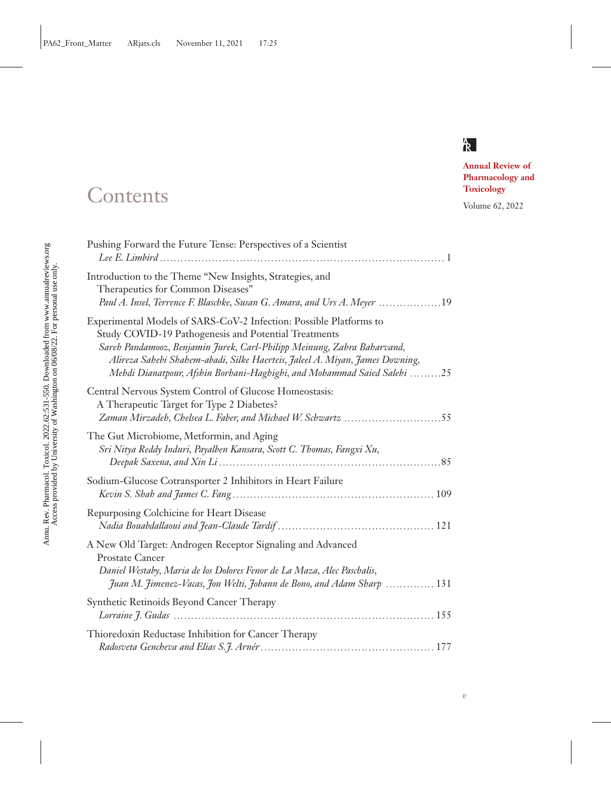

*v*

**Annual Review of Pharmacology and**

# **Contents** Toxicology Toxicology Volume 62, 2022

| Pushing Forward the Future Tense: Perspectives of a Scientist                                                                                                                                                                                                                                                                                                    |
|------------------------------------------------------------------------------------------------------------------------------------------------------------------------------------------------------------------------------------------------------------------------------------------------------------------------------------------------------------------|
| Introduction to the Theme "New Insights, Strategies, and<br>Therapeutics for Common Diseases"<br>Paul A. Insel, Terrence F. Blaschke, Susan G. Amara, and Urs A. Meyer 19                                                                                                                                                                                        |
| Experimental Models of SARS-CoV-2 Infection: Possible Platforms to<br>Study COVID-19 Pathogenesis and Potential Treatments<br>Sareh Pandamooz, Benjamin Jurek, Carl-Philipp Meinung, Zahra Baharvand,<br>Alireza Sahebi Shahem-abadi, Silke Haerteis, Jaleel A. Miyan, James Downing,<br>Mehdi Dianatpour, Afshin Borhani-Haghighi, and Mohammad Saied Salehi 25 |
| Central Nervous System Control of Glucose Homeostasis:<br>A Therapeutic Target for Type 2 Diabetes?<br>Zaman Mirzadeh, Chelsea L. Faber, and Michael W. Schwartz 55                                                                                                                                                                                              |
| The Gut Microbiome, Metformin, and Aging<br>Sri Nitya Reddy Induri, Payalben Kansara, Scott C. Thomas, Fangxi Xu,                                                                                                                                                                                                                                                |
| Sodium-Glucose Cotransporter 2 Inhibitors in Heart Failure                                                                                                                                                                                                                                                                                                       |
| Repurposing Colchicine for Heart Disease                                                                                                                                                                                                                                                                                                                         |
| A New Old Target: Androgen Receptor Signaling and Advanced<br><b>Prostate Cancer</b><br>Daniel Westaby, Maria de los Dolores Fenor de La Maza, Alec Paschalis,<br>Juan M. Jimenez-Vacas, Jon Welti, Johann de Bono, and Adam Sharp  131                                                                                                                          |
| Synthetic Retinoids Beyond Cancer Therapy                                                                                                                                                                                                                                                                                                                        |
| Thioredoxin Reductase Inhibition for Cancer Therapy                                                                                                                                                                                                                                                                                                              |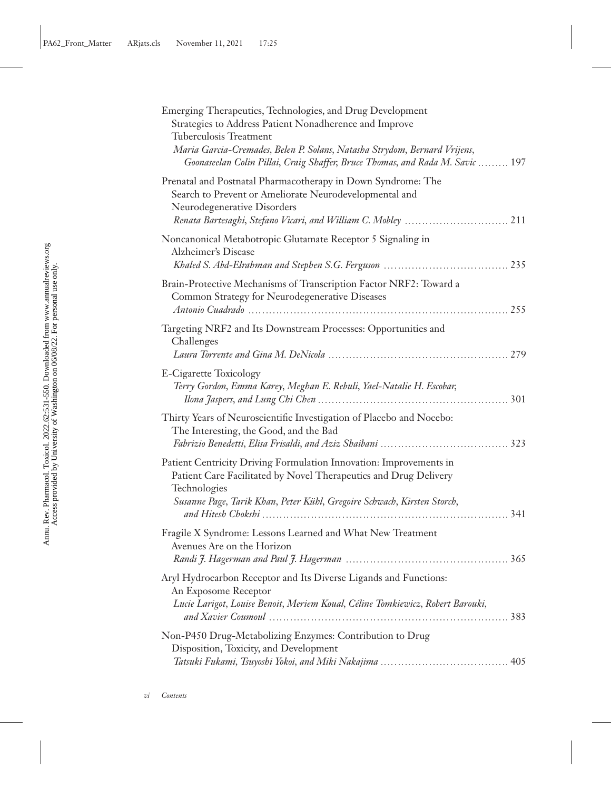| Emerging Therapeutics, Technologies, and Drug Development<br>Strategies to Address Patient Nonadherence and Improve<br>Tuberculosis Treatment                              |
|----------------------------------------------------------------------------------------------------------------------------------------------------------------------------|
| Maria Garcia-Cremades, Belen P. Solans, Natasha Strydom, Bernard Vrijens,<br>Goonaseelan Colin Pillai, Craig Shaffer, Bruce Thomas, and Rada M. Savic  197                 |
| Prenatal and Postnatal Pharmacotherapy in Down Syndrome: The<br>Search to Prevent or Ameliorate Neurodevelopmental and<br>Neurodegenerative Disorders                      |
| Noncanonical Metabotropic Glutamate Receptor 5 Signaling in<br>Alzheimer's Disease                                                                                         |
| Brain-Protective Mechanisms of Transcription Factor NRF2: Toward a<br>Common Strategy for Neurodegenerative Diseases                                                       |
| Targeting NRF2 and Its Downstream Processes: Opportunities and<br>Challenges                                                                                               |
| E-Cigarette Toxicology<br>Terry Gordon, Emma Karey, Meghan E. Rebuli, Yael-Natalie H. Escobar,                                                                             |
| Thirty Years of Neuroscientific Investigation of Placebo and Nocebo:<br>The Interesting, the Good, and the Bad                                                             |
| Patient Centricity Driving Formulation Innovation: Improvements in<br>Patient Care Facilitated by Novel Therapeutics and Drug Delivery<br>Technologies                     |
| Susanne Page, Tarik Khan, Peter Kühl, Gregoire Schwach, Kirsten Storch,                                                                                                    |
| Fragile X Syndrome: Lessons Learned and What New Treatment<br>Avenues Are on the Horizon                                                                                   |
| Aryl Hydrocarbon Receptor and Its Diverse Ligands and Functions:<br>An Exposome Receptor<br>Lucie Larigot, Louise Benoit, Meriem Koual, Céline Tomkiewicz, Robert Barouki, |
| Non-P450 Drug-Metabolizing Enzymes: Contribution to Drug<br>Disposition, Toxicity, and Development                                                                         |